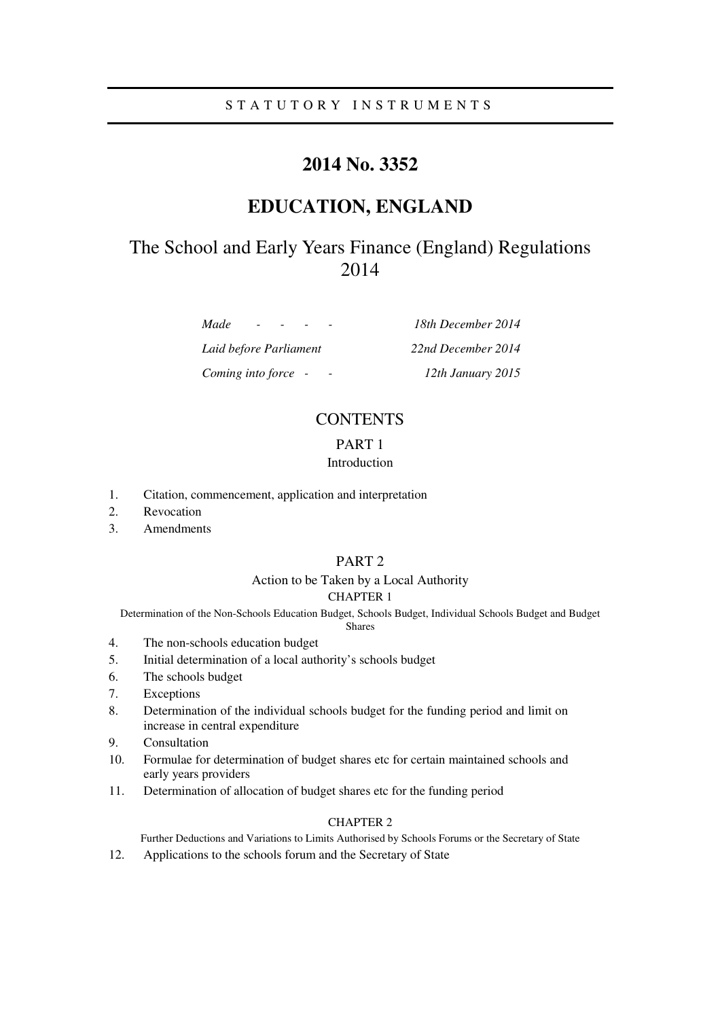## S T A T U T O R Y I N S T R U M E N T S

# **2014 No. 3352**

# **EDUCATION, ENGLAND**

# The School and Early Years Finance (England) Regulations 2014

*Made - - - - 18th December 2014* 

*Laid before Parliament 22nd December 2014 Coming into force - - 12th January 2015* 

# **CONTENTS**

## PART 1

### Introduction

- 1. Citation, commencement, application and interpretation
- 2. Revocation
- 3. Amendments

### PART 2

#### Action to be Taken by a Local Authority CHAPTER 1

Determination of the Non-Schools Education Budget, Schools Budget, Individual Schools Budget and Budget

## Shares

- 4. The non-schools education budget
- 5. Initial determination of a local authority's schools budget
- 6. The schools budget
- 7. Exceptions
- 8. Determination of the individual schools budget for the funding period and limit on increase in central expenditure
- 9. Consultation
- 10. Formulae for determination of budget shares etc for certain maintained schools and early years providers
- 11. Determination of allocation of budget shares etc for the funding period

### CHAPTER 2

Further Deductions and Variations to Limits Authorised by Schools Forums or the Secretary of State

12. Applications to the schools forum and the Secretary of State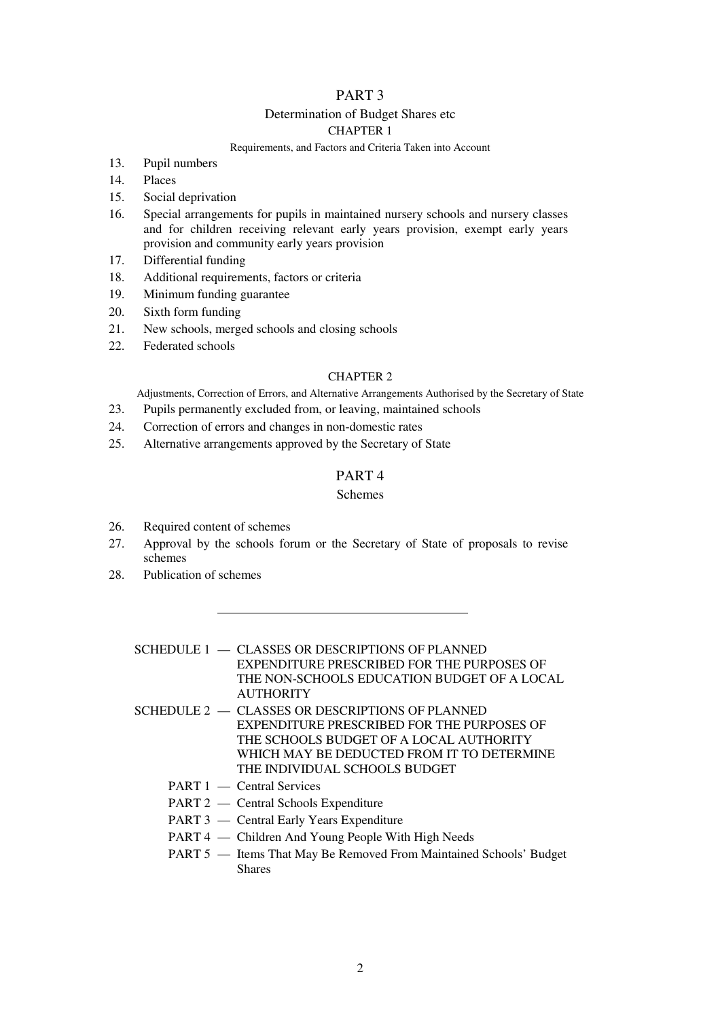## PART 3

### Determination of Budget Shares etc

### CHAPTER 1

#### Requirements, and Factors and Criteria Taken into Account

- 13. Pupil numbers
- 14. Places
- 15. Social deprivation
- 16. Special arrangements for pupils in maintained nursery schools and nursery classes and for children receiving relevant early years provision, exempt early years provision and community early years provision
- 17. Differential funding
- 18. Additional requirements, factors or criteria
- 19. Minimum funding guarantee
- 20. Sixth form funding
- 21. New schools, merged schools and closing schools
- 22. Federated schools

#### CHAPTER 2

Adjustments, Correction of Errors, and Alternative Arrangements Authorised by the Secretary of State

- 23. Pupils permanently excluded from, or leaving, maintained schools
- 24. Correction of errors and changes in non-domestic rates
- 25. Alternative arrangements approved by the Secretary of State

### PART 4

### Schemes

- 26. Required content of schemes
- 27. Approval by the schools forum or the Secretary of State of proposals to revise schemes
- 28. Publication of schemes
	- SCHEDULE 1 CLASSES OR DESCRIPTIONS OF PLANNED EXPENDITURE PRESCRIBED FOR THE PURPOSES OF THE NON-SCHOOLS EDUCATION BUDGET OF A LOCAL **AUTHORITY**
	- SCHEDULE  $2 C$ LASSES OR DESCRIPTIONS OF PLANNED EXPENDITURE PRESCRIBED FOR THE PURPOSES OF THE SCHOOLS BUDGET OF A LOCAL AUTHORITY WHICH MAY BE DEDUCTED FROM IT TO DETERMINE THE INDIVIDUAL SCHOOLS BUDGET
		- PART 1 Central Services
		- PART 2 Central Schools Expenditure
		- PART 3 Central Early Years Expenditure
		- PART 4 Children And Young People With High Needs
		- PART 5 Items That May Be Removed From Maintained Schools' Budget **Shares**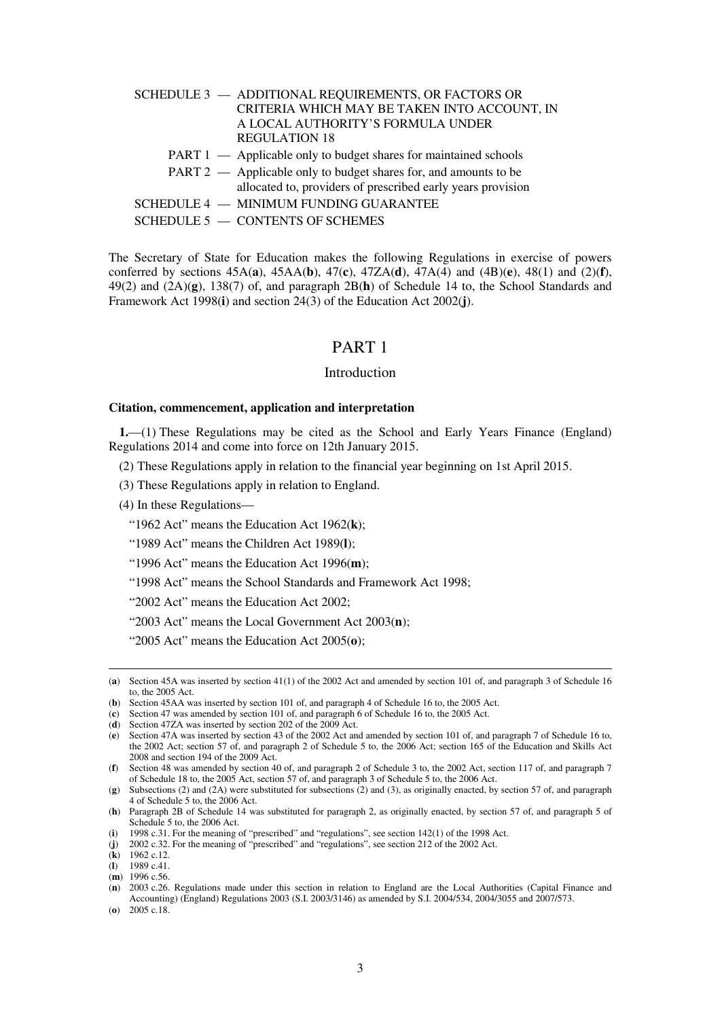| SCHEDULE 3 - ADDITIONAL REQUIREMENTS, OR FACTORS OR              |
|------------------------------------------------------------------|
| CRITERIA WHICH MAY BE TAKEN INTO ACCOUNT, IN                     |
| A LOCAL AUTHORITY'S FORMULA UNDER                                |
| <b>REGULATION 18</b>                                             |
| PART 1 — Applicable only to budget shares for maintained schools |
| PART 2 — Applicable only to budget shares for, and amounts to be |
| allocated to, providers of prescribed early years provision      |
| SCHEDULE 4 - MINIMUM FUNDING GUARANTEE                           |
| SCHEDULE 5 - CONTENTS OF SCHEMES                                 |

The Secretary of State for Education makes the following Regulations in exercise of powers conferred by sections 45A(**a**), 45AA(**b**), 47(**c**), 47ZA(**d**), 47A(4) and (4B)(**e**), 48(1) and (2)(**f**), 49(2) and (2A)(**g**), 138(7) of, and paragraph 2B(**h**) of Schedule 14 to, the School Standards and Framework Act 1998(**i**) and section 24(3) of the Education Act 2002(**j**).

## PART 1

#### Introduction

#### **Citation, commencement, application and interpretation**

**1.**—(1) These Regulations may be cited as the School and Early Years Finance (England) Regulations 2014 and come into force on 12th January 2015.

(2) These Regulations apply in relation to the financial year beginning on 1st April 2015.

(3) These Regulations apply in relation to England.

(4) In these Regulations—

"1962 Act" means the Education Act 1962(**k**);

"1989 Act" means the Children Act 1989(**l**);

"1996 Act" means the Education Act 1996(**m**);

"1998 Act" means the School Standards and Framework Act 1998;

"2002 Act" means the Education Act 2002;

"2003 Act" means the Local Government Act 2003(**n**);

"2005 Act" means the Education Act 2005(**o**);

(**k**) 1962 c.12.

<sup>(</sup>**a**) Section 45A was inserted by section 41(1) of the 2002 Act and amended by section 101 of, and paragraph 3 of Schedule 16 to, the 2005 Act.

<sup>(</sup>**b**) Section 45AA was inserted by section 101 of, and paragraph 4 of Schedule 16 to, the 2005 Act.

<sup>(</sup>**c**) Section 47 was amended by section 101 of, and paragraph 6 of Schedule 16 to, the 2005 Act.

<sup>(</sup>**d**) Section 47ZA was inserted by section 202 of the 2009 Act.

<sup>(</sup>**e**) Section 47A was inserted by section 43 of the 2002 Act and amended by section 101 of, and paragraph 7 of Schedule 16 to, the 2002 Act; section 57 of, and paragraph 2 of Schedule 5 to, the 2006 Act; section 165 of the Education and Skills Act 2008 and section 194 of the 2009 Act.

<sup>(</sup>**f**) Section 48 was amended by section 40 of, and paragraph 2 of Schedule 3 to, the 2002 Act, section 117 of, and paragraph 7 of Schedule 18 to, the 2005 Act, section 57 of, and paragraph 3 of Schedule 5 to, the 2006 Act.

<sup>(</sup>**g**) Subsections (2) and (2A) were substituted for subsections (2) and (3), as originally enacted, by section 57 of, and paragraph 4 of Schedule 5 to, the 2006 Act.

<sup>(</sup>**h**) Paragraph 2B of Schedule 14 was substituted for paragraph 2, as originally enacted, by section 57 of, and paragraph 5 of Schedule 5 to, the 2006 Act.

<sup>(</sup>**i**) 1998 c.31. For the meaning of "prescribed" and "regulations", see section 142(1) of the 1998 Act.

<sup>(</sup>**j**) 2002 c.32. For the meaning of "prescribed" and "regulations", see section 212 of the 2002 Act.

<sup>(</sup>**l**) 1989 c.41.

<sup>(</sup>**m**) 1996 c.56.

<sup>(</sup>**n**) 2003 c.26. Regulations made under this section in relation to England are the Local Authorities (Capital Finance and Accounting) (England) Regulations 2003 (S.I. 2003/3146) as amended by S.I. 2004/534, 2004/3055 and 2007/573. (**o**) 2005 c.18.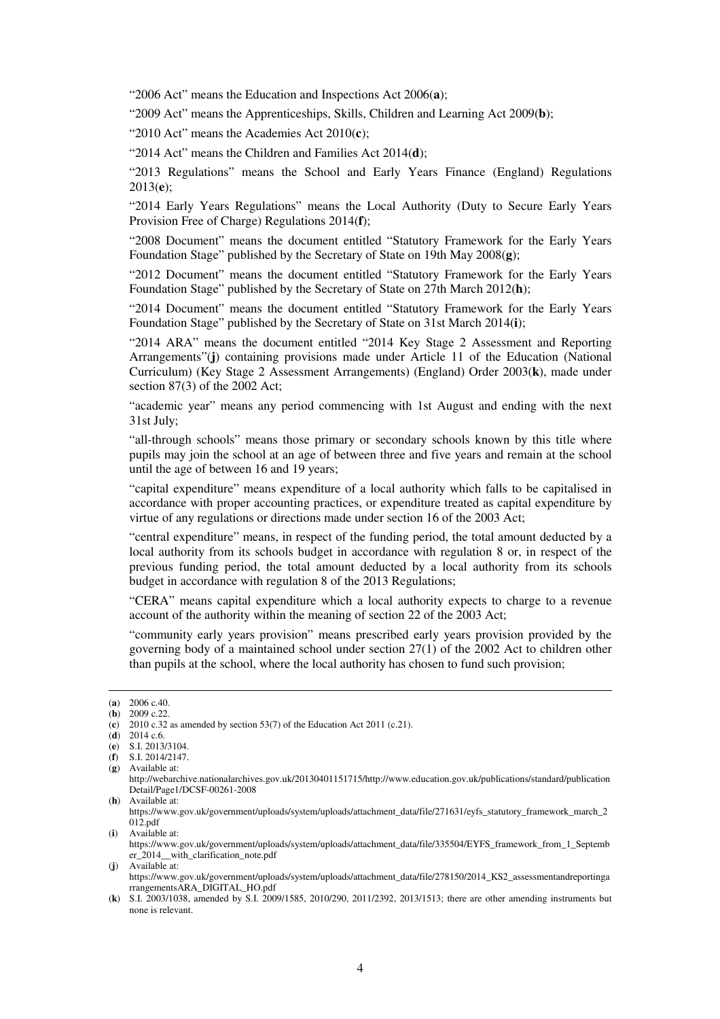"2006 Act" means the Education and Inspections Act 2006(**a**);

"2009 Act" means the Apprenticeships, Skills, Children and Learning Act 2009(**b**);

"2010 Act" means the Academies Act 2010(**c**);

"2014 Act" means the Children and Families Act 2014(**d**);

"2013 Regulations" means the School and Early Years Finance (England) Regulations 2013(**e**);

"2014 Early Years Regulations" means the Local Authority (Duty to Secure Early Years Provision Free of Charge) Regulations 2014(**f**);

"2008 Document" means the document entitled "Statutory Framework for the Early Years Foundation Stage" published by the Secretary of State on 19th May 2008(**g**);

"2012 Document" means the document entitled "Statutory Framework for the Early Years Foundation Stage" published by the Secretary of State on 27th March 2012(**h**);

"2014 Document" means the document entitled "Statutory Framework for the Early Years Foundation Stage" published by the Secretary of State on 31st March 2014(**i**);

"2014 ARA" means the document entitled "2014 Key Stage 2 Assessment and Reporting Arrangements"(**j**) containing provisions made under Article 11 of the Education (National Curriculum) (Key Stage 2 Assessment Arrangements) (England) Order 2003(**k**), made under section 87(3) of the 2002 Act;

"academic year" means any period commencing with 1st August and ending with the next 31st July;

"all-through schools" means those primary or secondary schools known by this title where pupils may join the school at an age of between three and five years and remain at the school until the age of between 16 and 19 years;

"capital expenditure" means expenditure of a local authority which falls to be capitalised in accordance with proper accounting practices, or expenditure treated as capital expenditure by virtue of any regulations or directions made under section 16 of the 2003 Act;

"central expenditure" means, in respect of the funding period, the total amount deducted by a local authority from its schools budget in accordance with regulation 8 or, in respect of the previous funding period, the total amount deducted by a local authority from its schools budget in accordance with regulation 8 of the 2013 Regulations;

"CERA" means capital expenditure which a local authority expects to charge to a revenue account of the authority within the meaning of section 22 of the 2003 Act;

"community early years provision" means prescribed early years provision provided by the governing body of a maintained school under section 27(1) of the 2002 Act to children other than pupils at the school, where the local authority has chosen to fund such provision;

<u>.</u>

(**j**) Available at:

<sup>(</sup>**a**) 2006 c.40.

 $(b)$  2009 c.22.

<sup>(</sup>c)  $2010$  c.32 as amended by section 53(7) of the Education Act 2011 (c.21).

<sup>(</sup>**d**) 2014 c.6.

<sup>(</sup>**e**) S.I. 2013/3104.

<sup>(</sup>**f**) S.I. 2014/2147. (**g**) Available at:

http://webarchive.nationalarchives.gov.uk/20130401151715/http://www.education.gov.uk/publications/standard/publication

Detail/Page1/DCSF-00261-2008

<sup>(</sup>**h**) Available at:

https://www.gov.uk/government/uploads/system/uploads/attachment\_data/file/271631/eyfs\_statutory\_framework\_march\_2  $012.pdf$ (**i**) Available at:

https://www.gov.uk/government/uploads/system/uploads/attachment\_data/file/335504/EYFS\_framework\_from\_1\_Septemb er\_2014\_\_with\_clarification\_note.pdf

https://www.gov.uk/government/uploads/system/uploads/attachment\_data/file/278150/2014\_KS2\_assessmentandreportinga rrangementsARA\_DIGITAL\_HO.pdf

<sup>(</sup>**k**) S.I. 2003/1038, amended by S.I. 2009/1585, 2010/290, 2011/2392, 2013/1513; there are other amending instruments but none is relevant.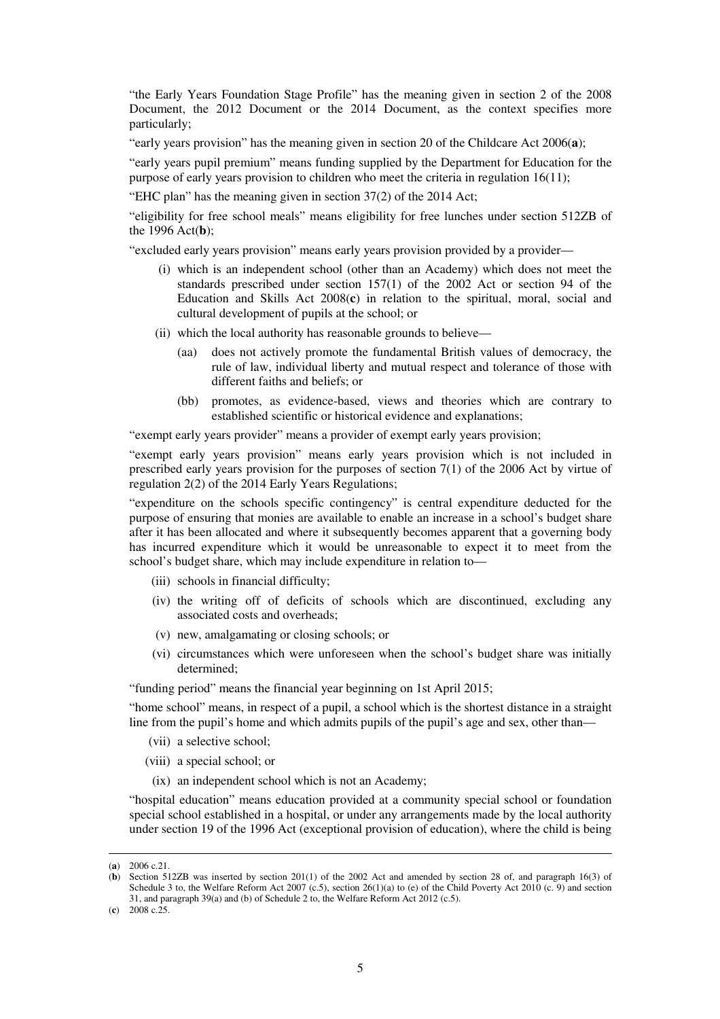"the Early Years Foundation Stage Profile" has the meaning given in section 2 of the 2008 Document, the 2012 Document or the 2014 Document, as the context specifies more particularly;

"early years provision" has the meaning given in section 20 of the Childcare Act 2006(**a**);

"early years pupil premium" means funding supplied by the Department for Education for the purpose of early years provision to children who meet the criteria in regulation 16(11);

"EHC plan" has the meaning given in section 37(2) of the 2014 Act;

"eligibility for free school meals" means eligibility for free lunches under section 512ZB of the 1996 Act(**b**);

"excluded early years provision" means early years provision provided by a provider—

- (i) which is an independent school (other than an Academy) which does not meet the standards prescribed under section 157(1) of the 2002 Act or section 94 of the Education and Skills Act 2008(**c**) in relation to the spiritual, moral, social and cultural development of pupils at the school; or
- (ii) which the local authority has reasonable grounds to believe—
	- (aa) does not actively promote the fundamental British values of democracy, the rule of law, individual liberty and mutual respect and tolerance of those with different faiths and beliefs; or
	- (bb) promotes, as evidence-based, views and theories which are contrary to established scientific or historical evidence and explanations;

"exempt early years provider" means a provider of exempt early years provision;

"exempt early years provision" means early years provision which is not included in prescribed early years provision for the purposes of section 7(1) of the 2006 Act by virtue of regulation 2(2) of the 2014 Early Years Regulations;

"expenditure on the schools specific contingency" is central expenditure deducted for the purpose of ensuring that monies are available to enable an increase in a school's budget share after it has been allocated and where it subsequently becomes apparent that a governing body has incurred expenditure which it would be unreasonable to expect it to meet from the school's budget share, which may include expenditure in relation to—

- (iii) schools in financial difficulty;
- (iv) the writing off of deficits of schools which are discontinued, excluding any associated costs and overheads;
- (v) new, amalgamating or closing schools; or
- (vi) circumstances which were unforeseen when the school's budget share was initially determined;

"funding period" means the financial year beginning on 1st April 2015;

"home school" means, in respect of a pupil, a school which is the shortest distance in a straight line from the pupil's home and which admits pupils of the pupil's age and sex, other than—

- (vii) a selective school;
- (viii) a special school; or
- (ix) an independent school which is not an Academy;

"hospital education" means education provided at a community special school or foundation special school established in a hospital, or under any arrangements made by the local authority under section 19 of the 1996 Act (exceptional provision of education), where the child is being

<sup>(</sup>**a**) 2006 c.21.

<sup>(</sup>**b**) Section 512ZB was inserted by section 201(1) of the 2002 Act and amended by section 28 of, and paragraph 16(3) of Schedule 3 to, the Welfare Reform Act 2007 (c.5), section 26(1)(a) to (e) of the Child Poverty Act 2010 (c. 9) and section 31, and paragraph 39(a) and (b) of Schedule 2 to, the Welfare Reform Act 2012 (c.5).

 $(c)$  2008 c.25.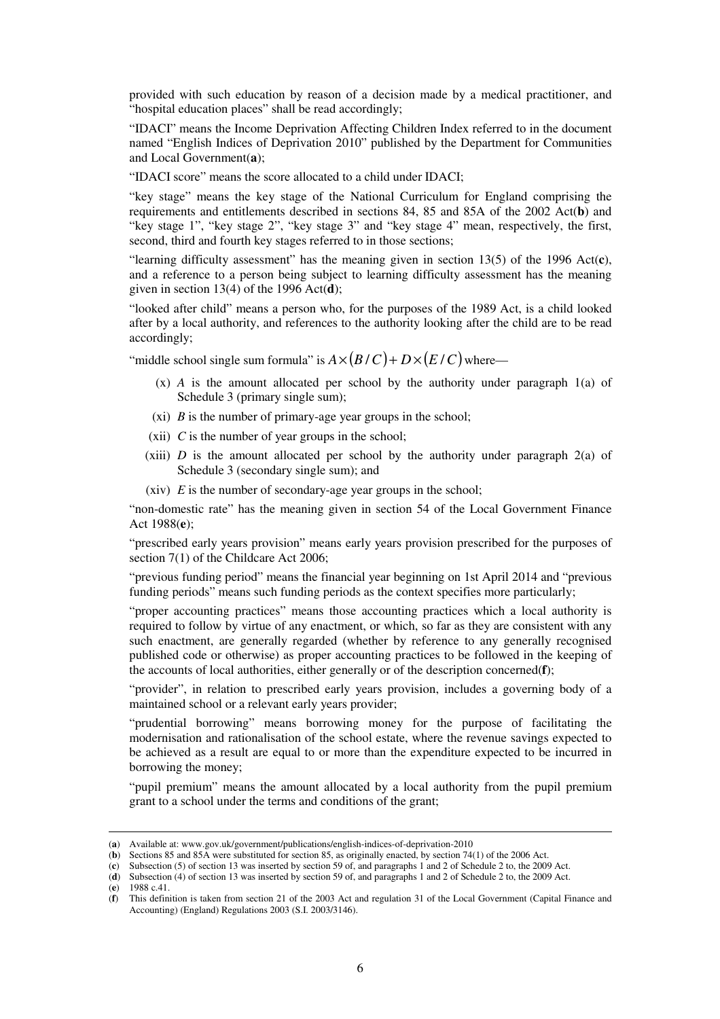provided with such education by reason of a decision made by a medical practitioner, and "hospital education places" shall be read accordingly;

"IDACI" means the Income Deprivation Affecting Children Index referred to in the document named "English Indices of Deprivation 2010" published by the Department for Communities and Local Government(**a**);

"IDACI score" means the score allocated to a child under IDACI;

"key stage" means the key stage of the National Curriculum for England comprising the requirements and entitlements described in sections 84, 85 and 85A of the 2002 Act(**b**) and "key stage 1", "key stage 2", "key stage 3" and "key stage 4" mean, respectively, the first, second, third and fourth key stages referred to in those sections;

"learning difficulty assessment" has the meaning given in section 13(5) of the 1996 Act(**c**), and a reference to a person being subject to learning difficulty assessment has the meaning given in section 13(4) of the 1996 Act(**d**);

"looked after child" means a person who, for the purposes of the 1989 Act, is a child looked after by a local authority, and references to the authority looking after the child are to be read accordingly;

"middle school single sum formula" is  $A \times (B/C) + D \times (E/C)$  where—

- (x) *A* is the amount allocated per school by the authority under paragraph 1(a) of Schedule 3 (primary single sum):
- (xi) *B* is the number of primary-age year groups in the school;
- (xii) *C* is the number of year groups in the school;
- (xiii)  $D$  is the amount allocated per school by the authority under paragraph  $2(a)$  of Schedule 3 (secondary single sum); and
- (xiv) *E* is the number of secondary-age year groups in the school;

"non-domestic rate" has the meaning given in section 54 of the Local Government Finance Act 1988(**e**);

"prescribed early years provision" means early years provision prescribed for the purposes of section 7(1) of the Childcare Act 2006;

"previous funding period" means the financial year beginning on 1st April 2014 and "previous funding periods" means such funding periods as the context specifies more particularly;

"proper accounting practices" means those accounting practices which a local authority is required to follow by virtue of any enactment, or which, so far as they are consistent with any such enactment, are generally regarded (whether by reference to any generally recognised published code or otherwise) as proper accounting practices to be followed in the keeping of the accounts of local authorities, either generally or of the description concerned(**f**);

"provider", in relation to prescribed early years provision, includes a governing body of a maintained school or a relevant early years provider;

"prudential borrowing" means borrowing money for the purpose of facilitating the modernisation and rationalisation of the school estate, where the revenue savings expected to be achieved as a result are equal to or more than the expenditure expected to be incurred in borrowing the money;

"pupil premium" means the amount allocated by a local authority from the pupil premium grant to a school under the terms and conditions of the grant;

<sup>(</sup>**a**) Available at: www.gov.uk/government/publications/english-indices-of-deprivation-2010

<sup>(</sup>**b**) Sections 85 and 85A were substituted for section 85, as originally enacted, by section 74(1) of the 2006 Act.

<sup>(</sup>**c**) Subsection (5) of section 13 was inserted by section 59 of, and paragraphs 1 and 2 of Schedule 2 to, the 2009 Act.

<sup>(</sup>**d**) Subsection (4) of section 13 was inserted by section 59 of, and paragraphs 1 and 2 of Schedule 2 to, the 2009 Act.

<sup>(</sup>**e**) 1988 c.41.

<sup>(</sup>**f**) This definition is taken from section 21 of the 2003 Act and regulation 31 of the Local Government (Capital Finance and Accounting) (England) Regulations 2003 (S.I. 2003/3146).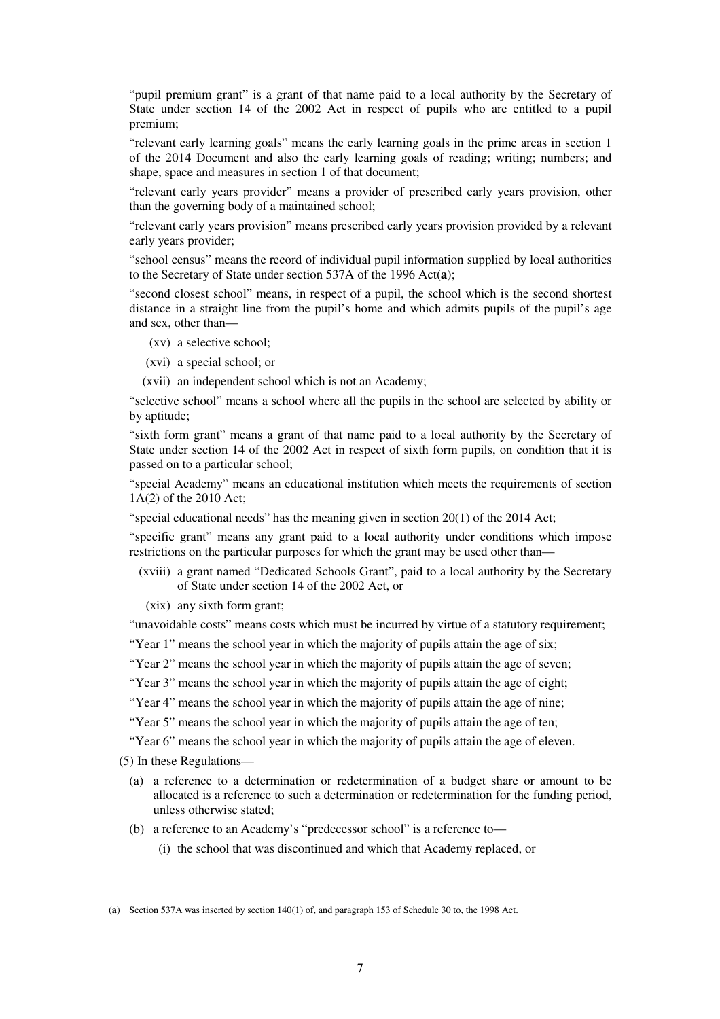"pupil premium grant" is a grant of that name paid to a local authority by the Secretary of State under section 14 of the 2002 Act in respect of pupils who are entitled to a pupil premium;

"relevant early learning goals" means the early learning goals in the prime areas in section 1 of the 2014 Document and also the early learning goals of reading; writing; numbers; and shape, space and measures in section 1 of that document;

"relevant early years provider" means a provider of prescribed early years provision, other than the governing body of a maintained school;

"relevant early years provision" means prescribed early years provision provided by a relevant early years provider;

"school census" means the record of individual pupil information supplied by local authorities to the Secretary of State under section 537A of the 1996 Act(**a**);

"second closest school" means, in respect of a pupil, the school which is the second shortest distance in a straight line from the pupil's home and which admits pupils of the pupil's age and sex, other than—

- (xv) a selective school;
- (xvi) a special school; or
- (xvii) an independent school which is not an Academy;

"selective school" means a school where all the pupils in the school are selected by ability or by aptitude;

"sixth form grant" means a grant of that name paid to a local authority by the Secretary of State under section 14 of the 2002 Act in respect of sixth form pupils, on condition that it is passed on to a particular school;

"special Academy" means an educational institution which meets the requirements of section 1A(2) of the 2010 Act;

"special educational needs" has the meaning given in section 20(1) of the 2014 Act;

"specific grant" means any grant paid to a local authority under conditions which impose restrictions on the particular purposes for which the grant may be used other than—

(xviii) a grant named "Dedicated Schools Grant", paid to a local authority by the Secretary of State under section 14 of the 2002 Act, or

(xix) any sixth form grant;

"unavoidable costs" means costs which must be incurred by virtue of a statutory requirement;

"Year 1" means the school year in which the majority of pupils attain the age of six;

"Year 2" means the school year in which the majority of pupils attain the age of seven;

"Year 3" means the school year in which the majority of pupils attain the age of eight;

"Year 4" means the school year in which the majority of pupils attain the age of nine;

"Year 5" means the school year in which the majority of pupils attain the age of ten;

"Year 6" means the school year in which the majority of pupils attain the age of eleven.

(5) In these Regulations—

- (a) a reference to a determination or redetermination of a budget share or amount to be allocated is a reference to such a determination or redetermination for the funding period, unless otherwise stated;
- (b) a reference to an Academy's "predecessor school" is a reference to—
	- (i) the school that was discontinued and which that Academy replaced, or

<sup>(</sup>**a**) Section 537A was inserted by section 140(1) of, and paragraph 153 of Schedule 30 to, the 1998 Act.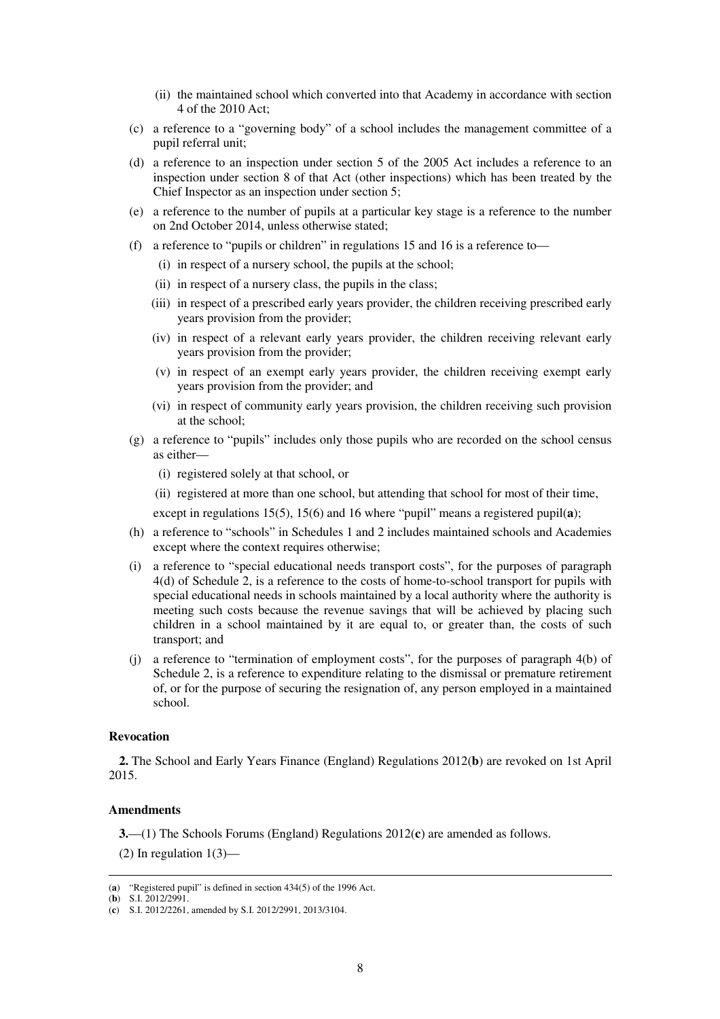- (ii) the maintained school which converted into that Academy in accordance with section 4 of the 2010 Act;
- (c) a reference to a "governing body" of a school includes the management committee of a pupil referral unit;
- (d) a reference to an inspection under section 5 of the 2005 Act includes a reference to an inspection under section 8 of that Act (other inspections) which has been treated by the Chief Inspector as an inspection under section 5;
- (e) a reference to the number of pupils at a particular key stage is a reference to the number on 2nd October 2014, unless otherwise stated;
- (f) a reference to "pupils or children" in regulations 15 and 16 is a reference to—
	- (i) in respect of a nursery school, the pupils at the school;
	- (ii) in respect of a nursery class, the pupils in the class;
	- (iii) in respect of a prescribed early years provider, the children receiving prescribed early years provision from the provider;
	- (iv) in respect of a relevant early years provider, the children receiving relevant early years provision from the provider;
	- (v) in respect of an exempt early years provider, the children receiving exempt early years provision from the provider; and
	- (vi) in respect of community early years provision, the children receiving such provision at the school;
- (g) a reference to "pupils" includes only those pupils who are recorded on the school census as either—
	- (i) registered solely at that school, or
	- (ii) registered at more than one school, but attending that school for most of their time,

except in regulations 15(5), 15(6) and 16 where "pupil" means a registered pupil(**a**);

- (h) a reference to "schools" in Schedules 1 and 2 includes maintained schools and Academies except where the context requires otherwise;
- (i) a reference to "special educational needs transport costs", for the purposes of paragraph 4(d) of Schedule 2, is a reference to the costs of home-to-school transport for pupils with special educational needs in schools maintained by a local authority where the authority is meeting such costs because the revenue savings that will be achieved by placing such children in a school maintained by it are equal to, or greater than, the costs of such transport; and
- (j) a reference to "termination of employment costs", for the purposes of paragraph 4(b) of Schedule 2, is a reference to expenditure relating to the dismissal or premature retirement of, or for the purpose of securing the resignation of, any person employed in a maintained school.

#### **Revocation**

**2.** The School and Early Years Finance (England) Regulations 2012(**b**) are revoked on 1st April 2015.

#### **Amendments**

**3.**—(1) The Schools Forums (England) Regulations 2012(**c**) are amended as follows.

(2) In regulation  $1(3)$ —

<sup>&</sup>lt;u>.</u> (**a**) "Registered pupil" is defined in section 434(5) of the 1996 Act.

<sup>(</sup>**b**) S.I. 2012/2991.

<sup>(</sup>**c**) S.I. 2012/2261, amended by S.I. 2012/2991, 2013/3104.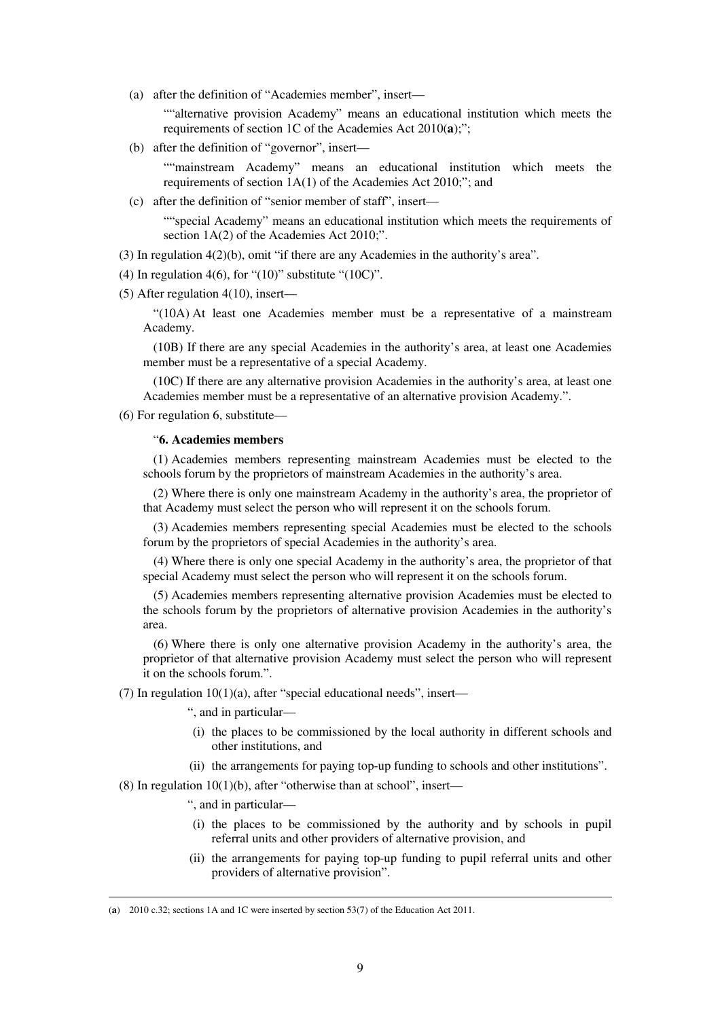(a) after the definition of "Academies member", insert—

""alternative provision Academy" means an educational institution which meets the requirements of section 1C of the Academies Act 2010(**a**);";

(b) after the definition of "governor", insert—

""mainstream Academy" means an educational institution which meets the requirements of section 1A(1) of the Academies Act 2010;"; and

(c) after the definition of "senior member of staff", insert—

""special Academy" means an educational institution which meets the requirements of section 1A(2) of the Academies Act 2010;".

(3) In regulation 4(2)(b), omit "if there are any Academies in the authority's area".

(4) In regulation 4(6), for " $(10)$ " substitute " $(10C)$ ".

(5) After regulation 4(10), insert—

"(10A) At least one Academies member must be a representative of a mainstream Academy.

(10B) If there are any special Academies in the authority's area, at least one Academies member must be a representative of a special Academy.

(10C) If there are any alternative provision Academies in the authority's area, at least one Academies member must be a representative of an alternative provision Academy.".

(6) For regulation 6, substitute—

#### "**6. Academies members**

(1) Academies members representing mainstream Academies must be elected to the schools forum by the proprietors of mainstream Academies in the authority's area.

(2) Where there is only one mainstream Academy in the authority's area, the proprietor of that Academy must select the person who will represent it on the schools forum.

(3) Academies members representing special Academies must be elected to the schools forum by the proprietors of special Academies in the authority's area.

(4) Where there is only one special Academy in the authority's area, the proprietor of that special Academy must select the person who will represent it on the schools forum.

(5) Academies members representing alternative provision Academies must be elected to the schools forum by the proprietors of alternative provision Academies in the authority's area.

(6) Where there is only one alternative provision Academy in the authority's area, the proprietor of that alternative provision Academy must select the person who will represent it on the schools forum.".

(7) In regulation  $10(1)(a)$ , after "special educational needs", insert—

", and in particular—

- (i) the places to be commissioned by the local authority in different schools and other institutions, and
- (ii) the arrangements for paying top-up funding to schools and other institutions".

(8) In regulation  $10(1)(b)$ , after "otherwise than at school", insert—

", and in particular—

- (i) the places to be commissioned by the authority and by schools in pupil referral units and other providers of alternative provision, and
- (ii) the arrangements for paying top-up funding to pupil referral units and other providers of alternative provision".

<sup>(</sup>**a**) 2010 c.32; sections 1A and 1C were inserted by section 53(7) of the Education Act 2011.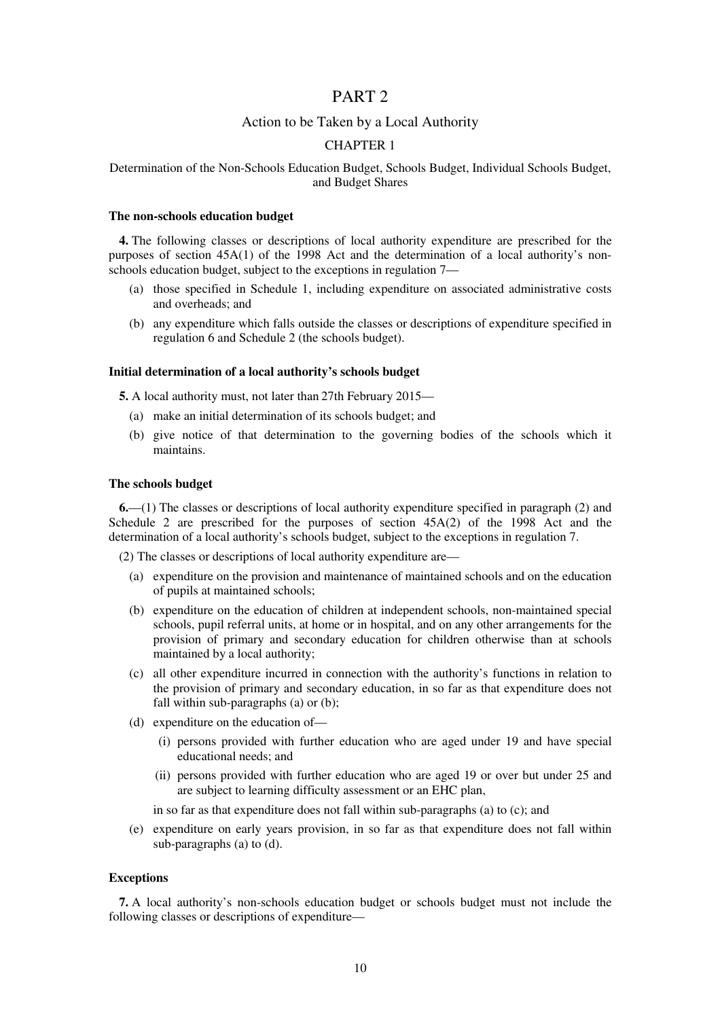## PART 2

### Action to be Taken by a Local Authority

#### CHAPTER 1

#### Determination of the Non-Schools Education Budget, Schools Budget, Individual Schools Budget, and Budget Shares

#### **The non-schools education budget**

**4.** The following classes or descriptions of local authority expenditure are prescribed for the purposes of section 45A(1) of the 1998 Act and the determination of a local authority's nonschools education budget, subject to the exceptions in regulation 7—

- (a) those specified in Schedule 1, including expenditure on associated administrative costs and overheads; and
- (b) any expenditure which falls outside the classes or descriptions of expenditure specified in regulation 6 and Schedule 2 (the schools budget).

#### **Initial determination of a local authority's schools budget**

**5.** A local authority must, not later than 27th February 2015—

- (a) make an initial determination of its schools budget; and
- (b) give notice of that determination to the governing bodies of the schools which it maintains.

#### **The schools budget**

**6.**—(1) The classes or descriptions of local authority expenditure specified in paragraph (2) and Schedule 2 are prescribed for the purposes of section 45A(2) of the 1998 Act and the determination of a local authority's schools budget, subject to the exceptions in regulation 7.

(2) The classes or descriptions of local authority expenditure are—

- (a) expenditure on the provision and maintenance of maintained schools and on the education of pupils at maintained schools;
- (b) expenditure on the education of children at independent schools, non-maintained special schools, pupil referral units, at home or in hospital, and on any other arrangements for the provision of primary and secondary education for children otherwise than at schools maintained by a local authority;
- (c) all other expenditure incurred in connection with the authority's functions in relation to the provision of primary and secondary education, in so far as that expenditure does not fall within sub-paragraphs (a) or (b);
- (d) expenditure on the education of—
	- (i) persons provided with further education who are aged under 19 and have special educational needs; and
	- (ii) persons provided with further education who are aged 19 or over but under 25 and are subject to learning difficulty assessment or an EHC plan,

in so far as that expenditure does not fall within sub-paragraphs (a) to (c); and

(e) expenditure on early years provision, in so far as that expenditure does not fall within sub-paragraphs (a) to (d).

#### **Exceptions**

**7.** A local authority's non-schools education budget or schools budget must not include the following classes or descriptions of expenditure—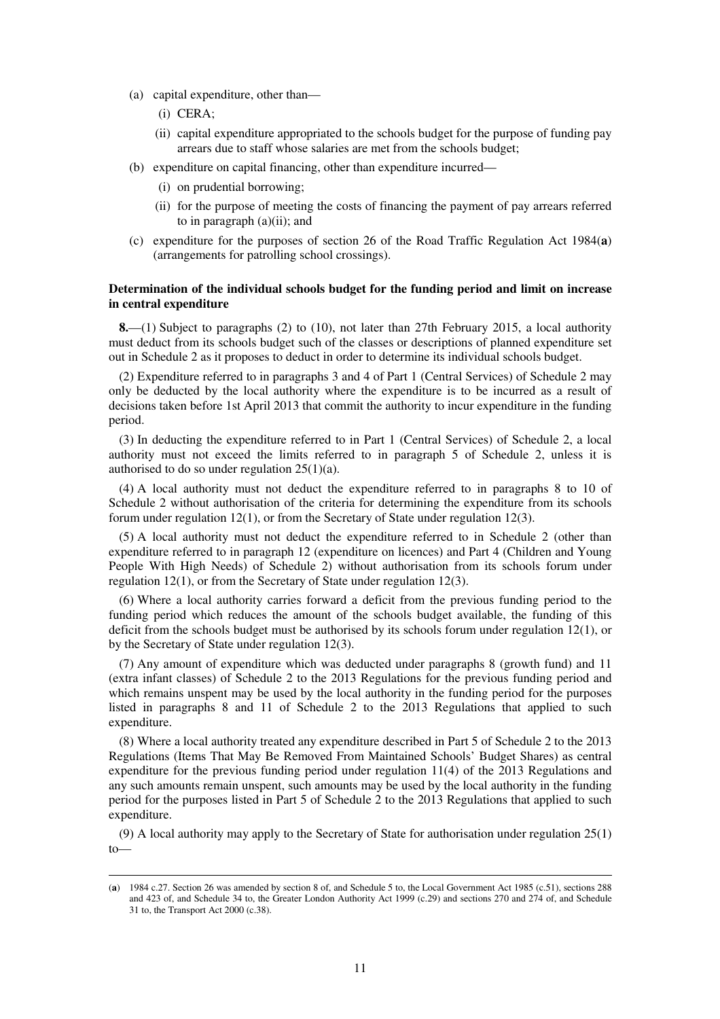- (a) capital expenditure, other than—
	- (i) CERA;

<u>.</u>

- (ii) capital expenditure appropriated to the schools budget for the purpose of funding pay arrears due to staff whose salaries are met from the schools budget;
- (b) expenditure on capital financing, other than expenditure incurred—
	- (i) on prudential borrowing;
	- (ii) for the purpose of meeting the costs of financing the payment of pay arrears referred to in paragraph  $(a)(ii)$ ; and
- (c) expenditure for the purposes of section 26 of the Road Traffic Regulation Act 1984(**a**) (arrangements for patrolling school crossings).

#### **Determination of the individual schools budget for the funding period and limit on increase in central expenditure**

**8.**—(1) Subject to paragraphs (2) to (10), not later than 27th February 2015, a local authority must deduct from its schools budget such of the classes or descriptions of planned expenditure set out in Schedule 2 as it proposes to deduct in order to determine its individual schools budget.

(2) Expenditure referred to in paragraphs 3 and 4 of Part 1 (Central Services) of Schedule 2 may only be deducted by the local authority where the expenditure is to be incurred as a result of decisions taken before 1st April 2013 that commit the authority to incur expenditure in the funding period.

(3) In deducting the expenditure referred to in Part 1 (Central Services) of Schedule 2, a local authority must not exceed the limits referred to in paragraph 5 of Schedule 2, unless it is authorised to do so under regulation 25(1)(a).

(4) A local authority must not deduct the expenditure referred to in paragraphs 8 to 10 of Schedule 2 without authorisation of the criteria for determining the expenditure from its schools forum under regulation 12(1), or from the Secretary of State under regulation 12(3).

(5) A local authority must not deduct the expenditure referred to in Schedule 2 (other than expenditure referred to in paragraph 12 (expenditure on licences) and Part 4 (Children and Young People With High Needs) of Schedule 2) without authorisation from its schools forum under regulation 12(1), or from the Secretary of State under regulation 12(3).

(6) Where a local authority carries forward a deficit from the previous funding period to the funding period which reduces the amount of the schools budget available, the funding of this deficit from the schools budget must be authorised by its schools forum under regulation 12(1), or by the Secretary of State under regulation 12(3).

(7) Any amount of expenditure which was deducted under paragraphs 8 (growth fund) and 11 (extra infant classes) of Schedule 2 to the 2013 Regulations for the previous funding period and which remains unspent may be used by the local authority in the funding period for the purposes listed in paragraphs 8 and 11 of Schedule 2 to the 2013 Regulations that applied to such expenditure.

(8) Where a local authority treated any expenditure described in Part 5 of Schedule 2 to the 2013 Regulations (Items That May Be Removed From Maintained Schools' Budget Shares) as central expenditure for the previous funding period under regulation 11(4) of the 2013 Regulations and any such amounts remain unspent, such amounts may be used by the local authority in the funding period for the purposes listed in Part 5 of Schedule 2 to the 2013 Regulations that applied to such expenditure.

(9) A local authority may apply to the Secretary of State for authorisation under regulation 25(1) to—

<sup>(</sup>**a**) 1984 c.27. Section 26 was amended by section 8 of, and Schedule 5 to, the Local Government Act 1985 (c.51), sections 288 and 423 of, and Schedule 34 to, the Greater London Authority Act 1999 (c.29) and sections 270 and 274 of, and Schedule 31 to, the Transport Act 2000 (c.38).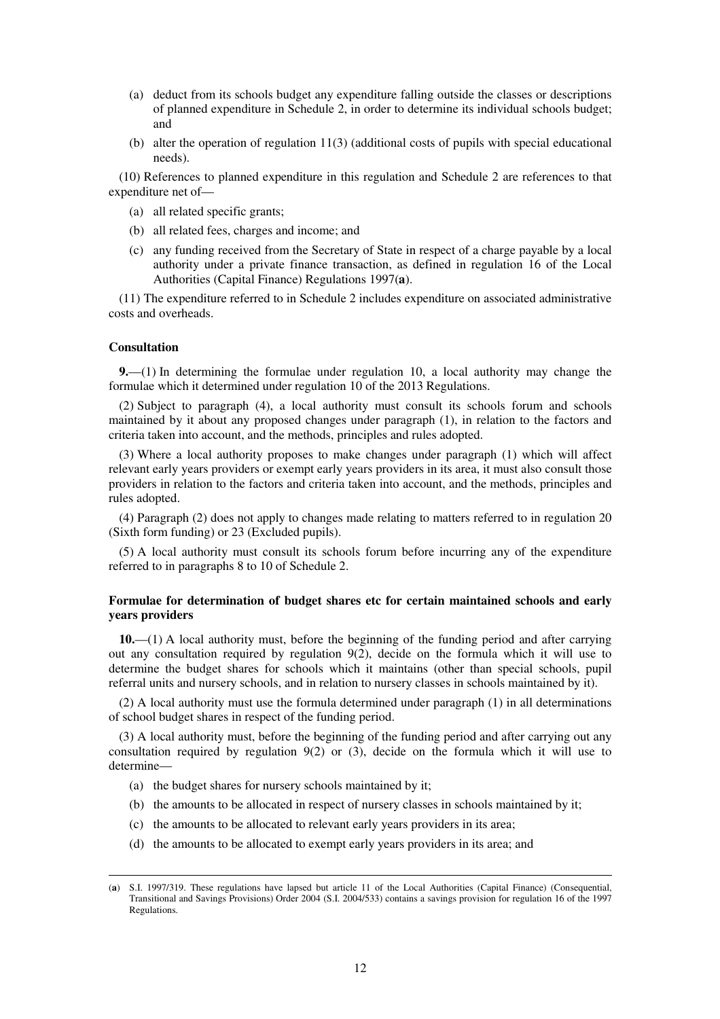- (a) deduct from its schools budget any expenditure falling outside the classes or descriptions of planned expenditure in Schedule 2, in order to determine its individual schools budget; and
- (b) alter the operation of regulation 11(3) (additional costs of pupils with special educational needs).

(10) References to planned expenditure in this regulation and Schedule 2 are references to that expenditure net of—

- (a) all related specific grants;
- (b) all related fees, charges and income; and
- (c) any funding received from the Secretary of State in respect of a charge payable by a local authority under a private finance transaction, as defined in regulation 16 of the Local Authorities (Capital Finance) Regulations 1997(**a**).

(11) The expenditure referred to in Schedule 2 includes expenditure on associated administrative costs and overheads.

#### **Consultation**

<u>.</u>

**9.**—(1) In determining the formulae under regulation 10, a local authority may change the formulae which it determined under regulation 10 of the 2013 Regulations.

(2) Subject to paragraph (4), a local authority must consult its schools forum and schools maintained by it about any proposed changes under paragraph (1), in relation to the factors and criteria taken into account, and the methods, principles and rules adopted.

(3) Where a local authority proposes to make changes under paragraph (1) which will affect relevant early years providers or exempt early years providers in its area, it must also consult those providers in relation to the factors and criteria taken into account, and the methods, principles and rules adopted.

(4) Paragraph (2) does not apply to changes made relating to matters referred to in regulation 20 (Sixth form funding) or 23 (Excluded pupils).

(5) A local authority must consult its schools forum before incurring any of the expenditure referred to in paragraphs 8 to 10 of Schedule 2.

#### **Formulae for determination of budget shares etc for certain maintained schools and early years providers**

**10.**—(1) A local authority must, before the beginning of the funding period and after carrying out any consultation required by regulation  $9(2)$ , decide on the formula which it will use to determine the budget shares for schools which it maintains (other than special schools, pupil referral units and nursery schools, and in relation to nursery classes in schools maintained by it).

(2) A local authority must use the formula determined under paragraph (1) in all determinations of school budget shares in respect of the funding period.

(3) A local authority must, before the beginning of the funding period and after carrying out any consultation required by regulation 9(2) or (3), decide on the formula which it will use to determine—

- (a) the budget shares for nursery schools maintained by it;
- (b) the amounts to be allocated in respect of nursery classes in schools maintained by it;
- (c) the amounts to be allocated to relevant early years providers in its area;
- (d) the amounts to be allocated to exempt early years providers in its area; and

<sup>(</sup>**a**) S.I. 1997/319. These regulations have lapsed but article 11 of the Local Authorities (Capital Finance) (Consequential, Transitional and Savings Provisions) Order 2004 (S.I. 2004/533) contains a savings provision for regulation 16 of the 1997 Regulations.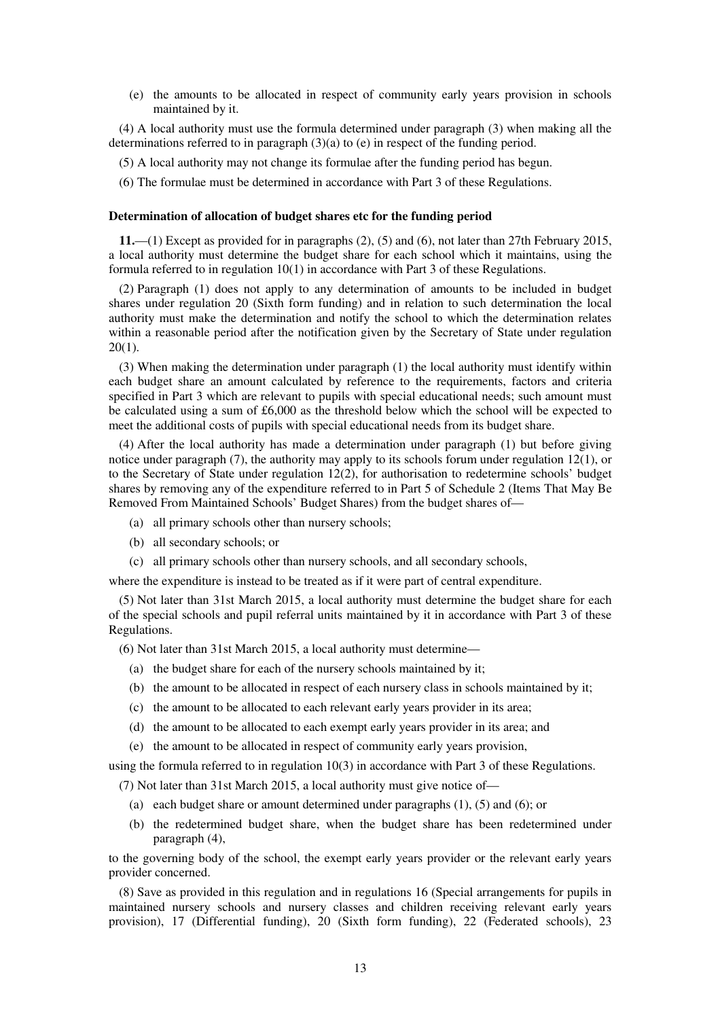(e) the amounts to be allocated in respect of community early years provision in schools maintained by it.

(4) A local authority must use the formula determined under paragraph (3) when making all the determinations referred to in paragraph  $(3)(a)$  to (e) in respect of the funding period.

- (5) A local authority may not change its formulae after the funding period has begun.
- (6) The formulae must be determined in accordance with Part 3 of these Regulations.

#### **Determination of allocation of budget shares etc for the funding period**

**11.**—(1) Except as provided for in paragraphs (2), (5) and (6), not later than 27th February 2015, a local authority must determine the budget share for each school which it maintains, using the formula referred to in regulation 10(1) in accordance with Part 3 of these Regulations.

(2) Paragraph (1) does not apply to any determination of amounts to be included in budget shares under regulation 20 (Sixth form funding) and in relation to such determination the local authority must make the determination and notify the school to which the determination relates within a reasonable period after the notification given by the Secretary of State under regulation  $20(1)$ .

(3) When making the determination under paragraph (1) the local authority must identify within each budget share an amount calculated by reference to the requirements, factors and criteria specified in Part 3 which are relevant to pupils with special educational needs; such amount must be calculated using a sum of £6,000 as the threshold below which the school will be expected to meet the additional costs of pupils with special educational needs from its budget share.

(4) After the local authority has made a determination under paragraph (1) but before giving notice under paragraph (7), the authority may apply to its schools forum under regulation 12(1), or to the Secretary of State under regulation 12(2), for authorisation to redetermine schools' budget shares by removing any of the expenditure referred to in Part 5 of Schedule 2 (Items That May Be Removed From Maintained Schools' Budget Shares) from the budget shares of—

- (a) all primary schools other than nursery schools;
- (b) all secondary schools; or
- (c) all primary schools other than nursery schools, and all secondary schools,

where the expenditure is instead to be treated as if it were part of central expenditure.

(5) Not later than 31st March 2015, a local authority must determine the budget share for each of the special schools and pupil referral units maintained by it in accordance with Part 3 of these Regulations.

(6) Not later than 31st March 2015, a local authority must determine—

- (a) the budget share for each of the nursery schools maintained by it;
- (b) the amount to be allocated in respect of each nursery class in schools maintained by it;
- (c) the amount to be allocated to each relevant early years provider in its area;
- (d) the amount to be allocated to each exempt early years provider in its area; and
- (e) the amount to be allocated in respect of community early years provision,

using the formula referred to in regulation 10(3) in accordance with Part 3 of these Regulations.

(7) Not later than 31st March 2015, a local authority must give notice of—

- (a) each budget share or amount determined under paragraphs (1), (5) and (6); or
- (b) the redetermined budget share, when the budget share has been redetermined under paragraph (4),

to the governing body of the school, the exempt early years provider or the relevant early years provider concerned.

(8) Save as provided in this regulation and in regulations 16 (Special arrangements for pupils in maintained nursery schools and nursery classes and children receiving relevant early years provision), 17 (Differential funding), 20 (Sixth form funding), 22 (Federated schools), 23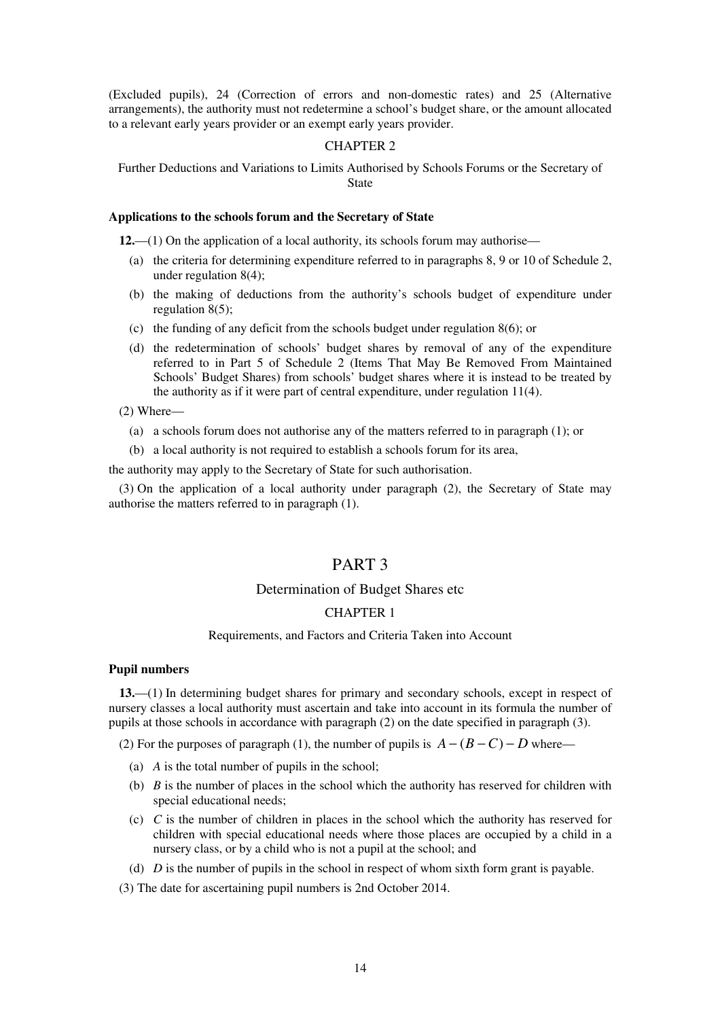(Excluded pupils), 24 (Correction of errors and non-domestic rates) and 25 (Alternative arrangements), the authority must not redetermine a school's budget share, or the amount allocated to a relevant early years provider or an exempt early years provider.

#### CHAPTER 2

Further Deductions and Variations to Limits Authorised by Schools Forums or the Secretary of State

#### **Applications to the schools forum and the Secretary of State**

**12.**—(1) On the application of a local authority, its schools forum may authorise—

- (a) the criteria for determining expenditure referred to in paragraphs 8, 9 or 10 of Schedule 2, under regulation 8(4);
- (b) the making of deductions from the authority's schools budget of expenditure under regulation 8(5);
- (c) the funding of any deficit from the schools budget under regulation 8(6); or
- (d) the redetermination of schools' budget shares by removal of any of the expenditure referred to in Part 5 of Schedule 2 (Items That May Be Removed From Maintained Schools' Budget Shares) from schools' budget shares where it is instead to be treated by the authority as if it were part of central expenditure, under regulation 11(4).

(2) Where—

- (a) a schools forum does not authorise any of the matters referred to in paragraph (1); or
- (b) a local authority is not required to establish a schools forum for its area,

the authority may apply to the Secretary of State for such authorisation.

(3) On the application of a local authority under paragraph (2), the Secretary of State may authorise the matters referred to in paragraph (1).

## PART 3

#### Determination of Budget Shares etc

#### CHAPTER 1

#### Requirements, and Factors and Criteria Taken into Account

#### **Pupil numbers**

**13.**—(1) In determining budget shares for primary and secondary schools, except in respect of nursery classes a local authority must ascertain and take into account in its formula the number of pupils at those schools in accordance with paragraph (2) on the date specified in paragraph (3).

(2) For the purposes of paragraph (1), the number of pupils is  $A - (B - C) - D$  where—

- (a) *A* is the total number of pupils in the school;
- (b) *B* is the number of places in the school which the authority has reserved for children with special educational needs;
- (c) *C* is the number of children in places in the school which the authority has reserved for children with special educational needs where those places are occupied by a child in a nursery class, or by a child who is not a pupil at the school; and

(d) *D* is the number of pupils in the school in respect of whom sixth form grant is payable.

(3) The date for ascertaining pupil numbers is 2nd October 2014.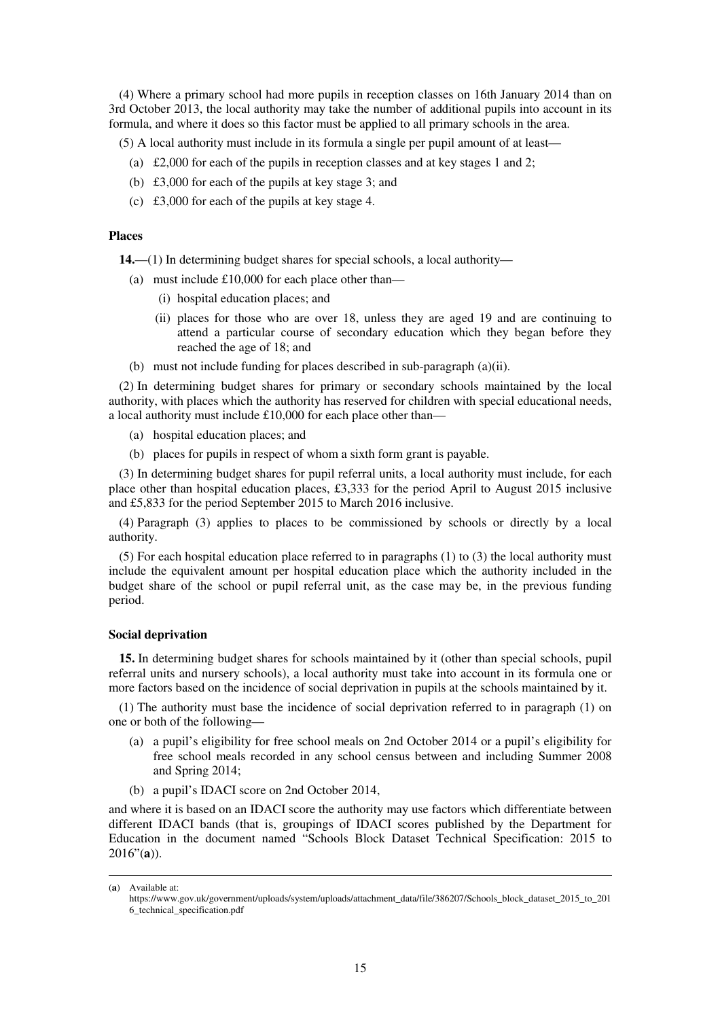(4) Where a primary school had more pupils in reception classes on 16th January 2014 than on 3rd October 2013, the local authority may take the number of additional pupils into account in its formula, and where it does so this factor must be applied to all primary schools in the area.

(5) A local authority must include in its formula a single per pupil amount of at least—

- (a)  $\text{\pounds}2,000$  for each of the pupils in reception classes and at key stages 1 and 2;
- (b) £3,000 for each of the pupils at key stage 3; and
- (c) £3,000 for each of the pupils at key stage 4.

#### **Places**

**14.**—(1) In determining budget shares for special schools, a local authority—

- (a) must include  $£10,000$  for each place other than—
	- (i) hospital education places; and
	- (ii) places for those who are over 18, unless they are aged 19 and are continuing to attend a particular course of secondary education which they began before they reached the age of 18; and
- (b) must not include funding for places described in sub-paragraph (a)(ii).

(2) In determining budget shares for primary or secondary schools maintained by the local authority, with places which the authority has reserved for children with special educational needs, a local authority must include £10,000 for each place other than—

- (a) hospital education places; and
- (b) places for pupils in respect of whom a sixth form grant is payable.

(3) In determining budget shares for pupil referral units, a local authority must include, for each place other than hospital education places, £3,333 for the period April to August 2015 inclusive and £5,833 for the period September 2015 to March 2016 inclusive.

(4) Paragraph (3) applies to places to be commissioned by schools or directly by a local authority.

(5) For each hospital education place referred to in paragraphs (1) to (3) the local authority must include the equivalent amount per hospital education place which the authority included in the budget share of the school or pupil referral unit, as the case may be, in the previous funding period.

#### **Social deprivation**

**15.** In determining budget shares for schools maintained by it (other than special schools, pupil referral units and nursery schools), a local authority must take into account in its formula one or more factors based on the incidence of social deprivation in pupils at the schools maintained by it.

(1) The authority must base the incidence of social deprivation referred to in paragraph (1) on one or both of the following—

- (a) a pupil's eligibility for free school meals on 2nd October 2014 or a pupil's eligibility for free school meals recorded in any school census between and including Summer 2008 and Spring 2014;
- (b) a pupil's IDACI score on 2nd October 2014,

and where it is based on an IDACI score the authority may use factors which differentiate between different IDACI bands (that is, groupings of IDACI scores published by the Department for Education in the document named "Schools Block Dataset Technical Specification: 2015 to 2016"(**a**)).

<sup>(</sup>**a**) Available at:

https://www.gov.uk/government/uploads/system/uploads/attachment\_data/file/386207/Schools\_block\_dataset\_2015\_to\_201 6\_technical\_specification.pdf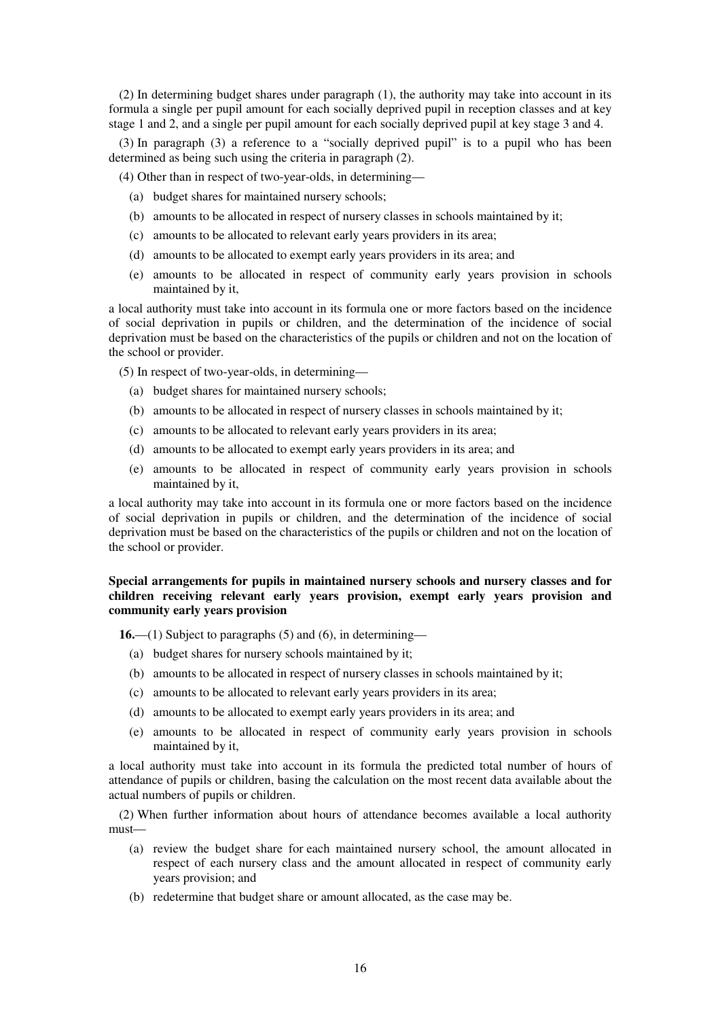(2) In determining budget shares under paragraph (1), the authority may take into account in its formula a single per pupil amount for each socially deprived pupil in reception classes and at key stage 1 and 2, and a single per pupil amount for each socially deprived pupil at key stage 3 and 4.

(3) In paragraph (3) a reference to a "socially deprived pupil" is to a pupil who has been determined as being such using the criteria in paragraph (2).

(4) Other than in respect of two-year-olds, in determining—

- (a) budget shares for maintained nursery schools;
- (b) amounts to be allocated in respect of nursery classes in schools maintained by it;
- (c) amounts to be allocated to relevant early years providers in its area;
- (d) amounts to be allocated to exempt early years providers in its area; and
- (e) amounts to be allocated in respect of community early years provision in schools maintained by it,

a local authority must take into account in its formula one or more factors based on the incidence of social deprivation in pupils or children, and the determination of the incidence of social deprivation must be based on the characteristics of the pupils or children and not on the location of the school or provider.

(5) In respect of two-year-olds, in determining—

- (a) budget shares for maintained nursery schools;
- (b) amounts to be allocated in respect of nursery classes in schools maintained by it;
- (c) amounts to be allocated to relevant early years providers in its area;
- (d) amounts to be allocated to exempt early years providers in its area; and
- (e) amounts to be allocated in respect of community early years provision in schools maintained by it,

a local authority may take into account in its formula one or more factors based on the incidence of social deprivation in pupils or children, and the determination of the incidence of social deprivation must be based on the characteristics of the pupils or children and not on the location of the school or provider.

#### **Special arrangements for pupils in maintained nursery schools and nursery classes and for children receiving relevant early years provision, exempt early years provision and community early years provision**

**16.**—(1) Subject to paragraphs (5) and (6), in determining—

- (a) budget shares for nursery schools maintained by it;
- (b) amounts to be allocated in respect of nursery classes in schools maintained by it;
- (c) amounts to be allocated to relevant early years providers in its area;
- (d) amounts to be allocated to exempt early years providers in its area; and
- (e) amounts to be allocated in respect of community early years provision in schools maintained by it,

a local authority must take into account in its formula the predicted total number of hours of attendance of pupils or children, basing the calculation on the most recent data available about the actual numbers of pupils or children.

(2) When further information about hours of attendance becomes available a local authority must—

- (a) review the budget share for each maintained nursery school, the amount allocated in respect of each nursery class and the amount allocated in respect of community early years provision; and
- (b) redetermine that budget share or amount allocated, as the case may be.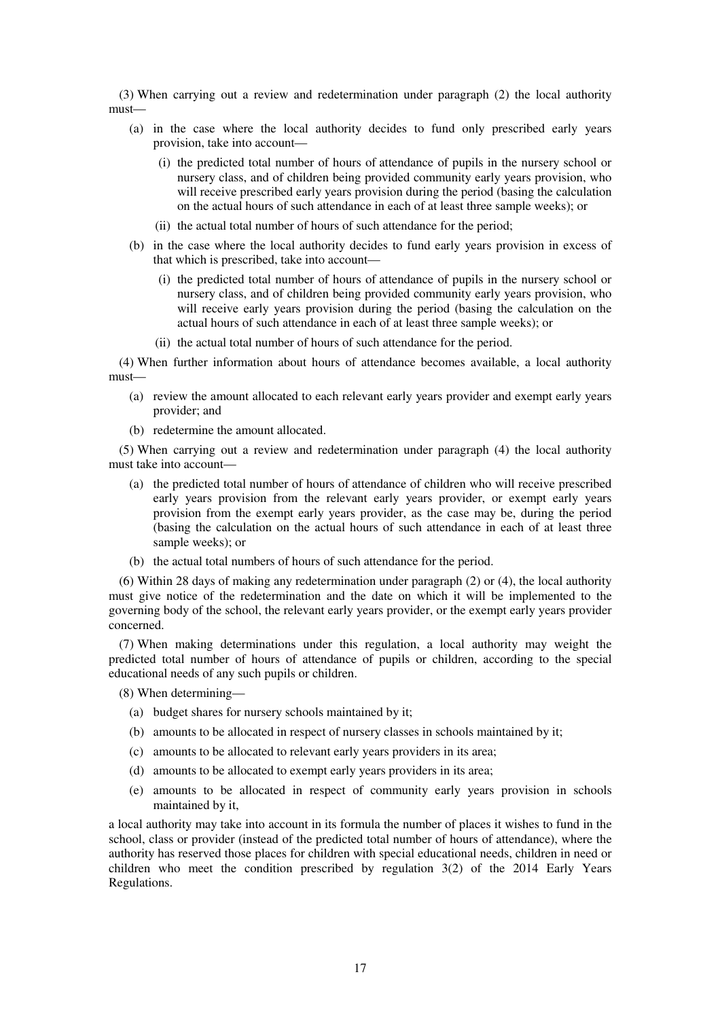(3) When carrying out a review and redetermination under paragraph (2) the local authority must—

- (a) in the case where the local authority decides to fund only prescribed early years provision, take into account—
	- (i) the predicted total number of hours of attendance of pupils in the nursery school or nursery class, and of children being provided community early years provision, who will receive prescribed early years provision during the period (basing the calculation on the actual hours of such attendance in each of at least three sample weeks); or
	- (ii) the actual total number of hours of such attendance for the period;
- (b) in the case where the local authority decides to fund early years provision in excess of that which is prescribed, take into account—
	- (i) the predicted total number of hours of attendance of pupils in the nursery school or nursery class, and of children being provided community early years provision, who will receive early years provision during the period (basing the calculation on the actual hours of such attendance in each of at least three sample weeks); or
	- (ii) the actual total number of hours of such attendance for the period.

(4) When further information about hours of attendance becomes available, a local authority must—

- (a) review the amount allocated to each relevant early years provider and exempt early years provider; and
- (b) redetermine the amount allocated.

(5) When carrying out a review and redetermination under paragraph (4) the local authority must take into account—

- (a) the predicted total number of hours of attendance of children who will receive prescribed early years provision from the relevant early years provider, or exempt early years provision from the exempt early years provider, as the case may be, during the period (basing the calculation on the actual hours of such attendance in each of at least three sample weeks); or
- (b) the actual total numbers of hours of such attendance for the period.

(6) Within 28 days of making any redetermination under paragraph (2) or (4), the local authority must give notice of the redetermination and the date on which it will be implemented to the governing body of the school, the relevant early years provider, or the exempt early years provider concerned.

(7) When making determinations under this regulation, a local authority may weight the predicted total number of hours of attendance of pupils or children, according to the special educational needs of any such pupils or children.

(8) When determining—

- (a) budget shares for nursery schools maintained by it;
- (b) amounts to be allocated in respect of nursery classes in schools maintained by it;
- (c) amounts to be allocated to relevant early years providers in its area;
- (d) amounts to be allocated to exempt early years providers in its area;
- (e) amounts to be allocated in respect of community early years provision in schools maintained by it,

a local authority may take into account in its formula the number of places it wishes to fund in the school, class or provider (instead of the predicted total number of hours of attendance), where the authority has reserved those places for children with special educational needs, children in need or children who meet the condition prescribed by regulation 3(2) of the 2014 Early Years Regulations.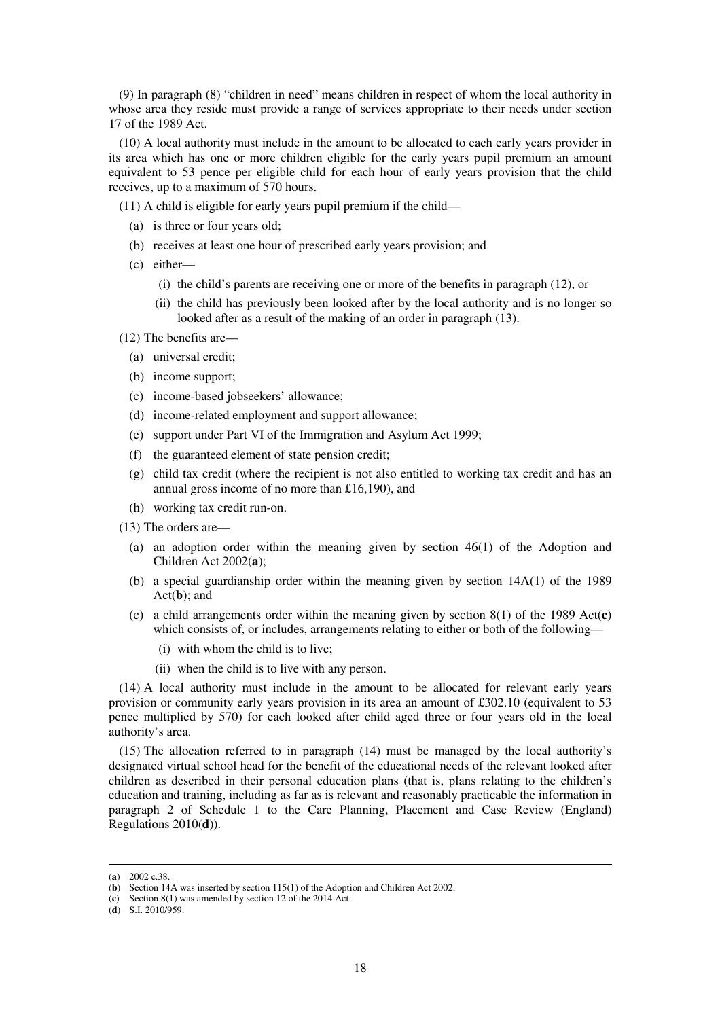(9) In paragraph (8) "children in need" means children in respect of whom the local authority in whose area they reside must provide a range of services appropriate to their needs under section 17 of the 1989 Act.

(10) A local authority must include in the amount to be allocated to each early years provider in its area which has one or more children eligible for the early years pupil premium an amount equivalent to 53 pence per eligible child for each hour of early years provision that the child receives, up to a maximum of 570 hours.

(11) A child is eligible for early years pupil premium if the child—

- (a) is three or four years old;
- (b) receives at least one hour of prescribed early years provision; and
- (c) either—
	- (i) the child's parents are receiving one or more of the benefits in paragraph (12), or
	- (ii) the child has previously been looked after by the local authority and is no longer so looked after as a result of the making of an order in paragraph (13).
- (12) The benefits are—
	- (a) universal credit;
	- (b) income support;
	- (c) income-based jobseekers' allowance;
	- (d) income-related employment and support allowance;
	- (e) support under Part VI of the Immigration and Asylum Act 1999;
	- (f) the guaranteed element of state pension credit;
	- (g) child tax credit (where the recipient is not also entitled to working tax credit and has an annual gross income of no more than £16,190), and
	- (h) working tax credit run-on.
- (13) The orders are—
	- (a) an adoption order within the meaning given by section 46(1) of the Adoption and Children Act 2002(**a**);
	- (b) a special guardianship order within the meaning given by section  $14A(1)$  of the 1989 Act(**b**); and
	- (c) a child arrangements order within the meaning given by section 8(1) of the 1989 Act(**c**) which consists of, or includes, arrangements relating to either or both of the following—
		- (i) with whom the child is to live;
		- (ii) when the child is to live with any person.

(14) A local authority must include in the amount to be allocated for relevant early years provision or community early years provision in its area an amount of £302.10 (equivalent to 53 pence multiplied by 570) for each looked after child aged three or four years old in the local authority's area.

(15) The allocation referred to in paragraph (14) must be managed by the local authority's designated virtual school head for the benefit of the educational needs of the relevant looked after children as described in their personal education plans (that is, plans relating to the children's education and training, including as far as is relevant and reasonably practicable the information in paragraph 2 of Schedule 1 to the Care Planning, Placement and Case Review (England) Regulations 2010(**d**)).

<sup>(</sup>**a**) 2002 c.38.

<sup>(</sup>**b**) Section 14A was inserted by section 115(1) of the Adoption and Children Act 2002.

<sup>(</sup>**c**) Section 8(1) was amended by section 12 of the 2014 Act.

<sup>(</sup>**d**) S.I. 2010/959.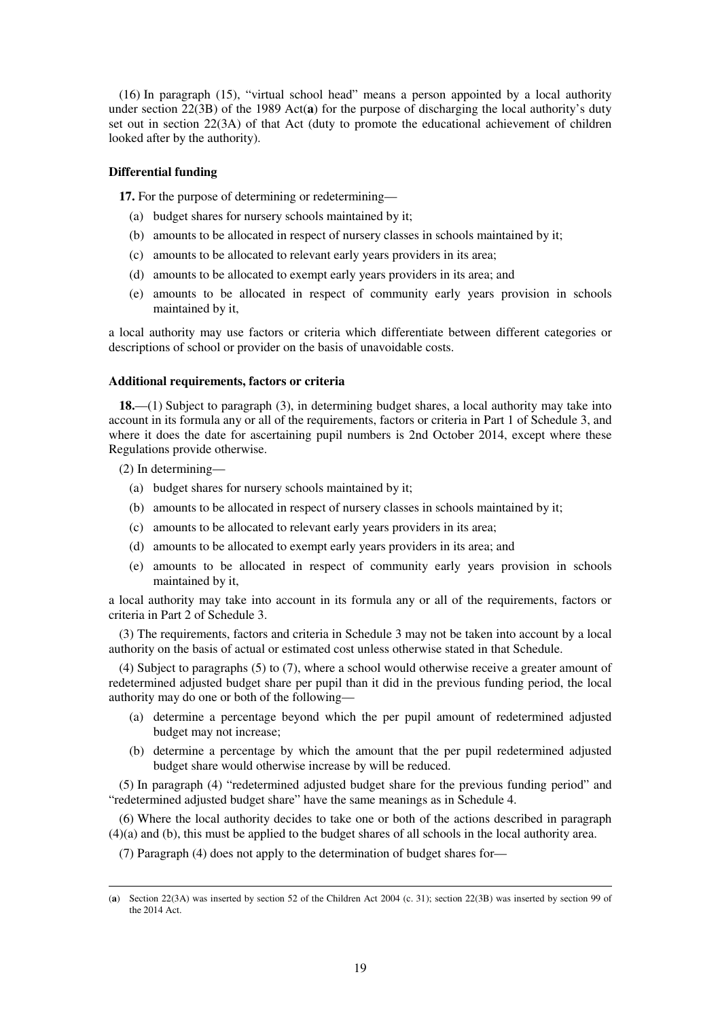(16) In paragraph (15), "virtual school head" means a person appointed by a local authority under section 22(3B) of the 1989 Act(**a**) for the purpose of discharging the local authority's duty set out in section 22(3A) of that Act (duty to promote the educational achievement of children looked after by the authority).

#### **Differential funding**

**17.** For the purpose of determining or redetermining—

- (a) budget shares for nursery schools maintained by it;
- (b) amounts to be allocated in respect of nursery classes in schools maintained by it;
- (c) amounts to be allocated to relevant early years providers in its area;
- (d) amounts to be allocated to exempt early years providers in its area; and
- (e) amounts to be allocated in respect of community early years provision in schools maintained by it,

a local authority may use factors or criteria which differentiate between different categories or descriptions of school or provider on the basis of unavoidable costs.

#### **Additional requirements, factors or criteria**

**18.**—(1) Subject to paragraph (3), in determining budget shares, a local authority may take into account in its formula any or all of the requirements, factors or criteria in Part 1 of Schedule 3, and where it does the date for ascertaining pupil numbers is 2nd October 2014, except where these Regulations provide otherwise.

(2) In determining—

<u>.</u>

- (a) budget shares for nursery schools maintained by it;
- (b) amounts to be allocated in respect of nursery classes in schools maintained by it;
- (c) amounts to be allocated to relevant early years providers in its area;
- (d) amounts to be allocated to exempt early years providers in its area; and
- (e) amounts to be allocated in respect of community early years provision in schools maintained by it,

a local authority may take into account in its formula any or all of the requirements, factors or criteria in Part 2 of Schedule 3.

(3) The requirements, factors and criteria in Schedule 3 may not be taken into account by a local authority on the basis of actual or estimated cost unless otherwise stated in that Schedule.

(4) Subject to paragraphs (5) to (7), where a school would otherwise receive a greater amount of redetermined adjusted budget share per pupil than it did in the previous funding period, the local authority may do one or both of the following—

- (a) determine a percentage beyond which the per pupil amount of redetermined adjusted budget may not increase;
- (b) determine a percentage by which the amount that the per pupil redetermined adjusted budget share would otherwise increase by will be reduced.

(5) In paragraph (4) "redetermined adjusted budget share for the previous funding period" and "redetermined adjusted budget share" have the same meanings as in Schedule 4.

(6) Where the local authority decides to take one or both of the actions described in paragraph (4)(a) and (b), this must be applied to the budget shares of all schools in the local authority area.

(7) Paragraph (4) does not apply to the determination of budget shares for—

<sup>(</sup>**a**) Section 22(3A) was inserted by section 52 of the Children Act 2004 (c. 31); section 22(3B) was inserted by section 99 of the 2014 Act.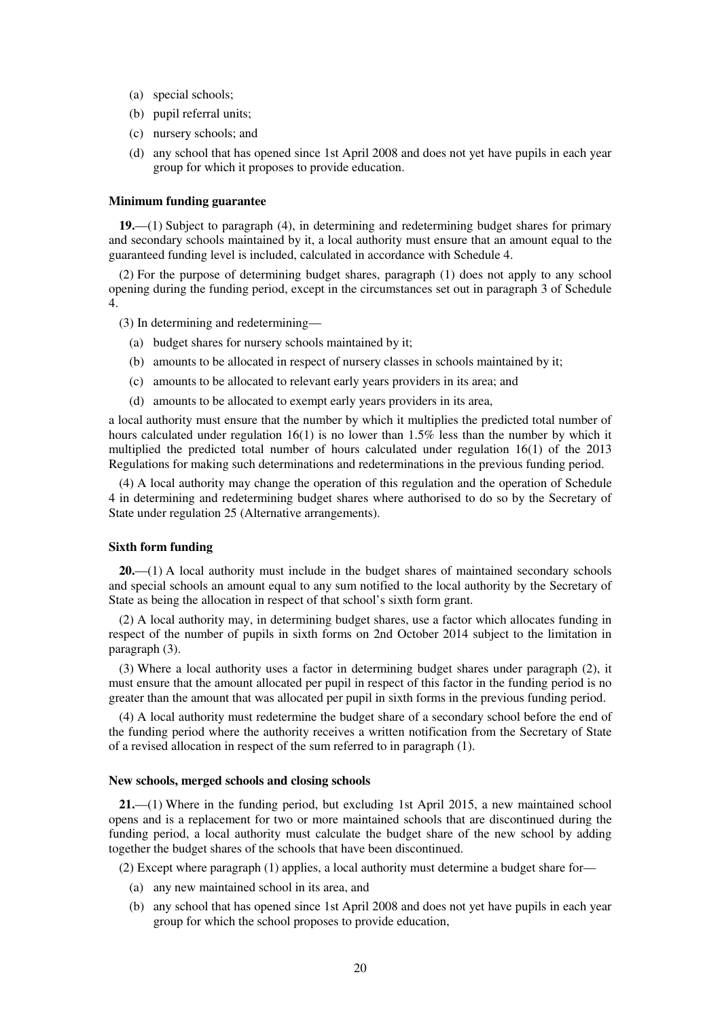- (a) special schools;
- (b) pupil referral units;
- (c) nursery schools; and
- (d) any school that has opened since 1st April 2008 and does not yet have pupils in each year group for which it proposes to provide education.

#### **Minimum funding guarantee**

**19.**—(1) Subject to paragraph (4), in determining and redetermining budget shares for primary and secondary schools maintained by it, a local authority must ensure that an amount equal to the guaranteed funding level is included, calculated in accordance with Schedule 4.

(2) For the purpose of determining budget shares, paragraph (1) does not apply to any school opening during the funding period, except in the circumstances set out in paragraph 3 of Schedule 4.

(3) In determining and redetermining—

- (a) budget shares for nursery schools maintained by it;
- (b) amounts to be allocated in respect of nursery classes in schools maintained by it;
- (c) amounts to be allocated to relevant early years providers in its area; and
- (d) amounts to be allocated to exempt early years providers in its area,

a local authority must ensure that the number by which it multiplies the predicted total number of hours calculated under regulation 16(1) is no lower than 1.5% less than the number by which it multiplied the predicted total number of hours calculated under regulation 16(1) of the 2013 Regulations for making such determinations and redeterminations in the previous funding period.

(4) A local authority may change the operation of this regulation and the operation of Schedule 4 in determining and redetermining budget shares where authorised to do so by the Secretary of State under regulation 25 (Alternative arrangements).

#### **Sixth form funding**

**20.**—(1) A local authority must include in the budget shares of maintained secondary schools and special schools an amount equal to any sum notified to the local authority by the Secretary of State as being the allocation in respect of that school's sixth form grant.

(2) A local authority may, in determining budget shares, use a factor which allocates funding in respect of the number of pupils in sixth forms on 2nd October 2014 subject to the limitation in paragraph (3).

(3) Where a local authority uses a factor in determining budget shares under paragraph (2), it must ensure that the amount allocated per pupil in respect of this factor in the funding period is no greater than the amount that was allocated per pupil in sixth forms in the previous funding period.

(4) A local authority must redetermine the budget share of a secondary school before the end of the funding period where the authority receives a written notification from the Secretary of State of a revised allocation in respect of the sum referred to in paragraph (1).

#### **New schools, merged schools and closing schools**

**21.**—(1) Where in the funding period, but excluding 1st April 2015, a new maintained school opens and is a replacement for two or more maintained schools that are discontinued during the funding period, a local authority must calculate the budget share of the new school by adding together the budget shares of the schools that have been discontinued.

(2) Except where paragraph (1) applies, a local authority must determine a budget share for—

- (a) any new maintained school in its area, and
- (b) any school that has opened since 1st April 2008 and does not yet have pupils in each year group for which the school proposes to provide education,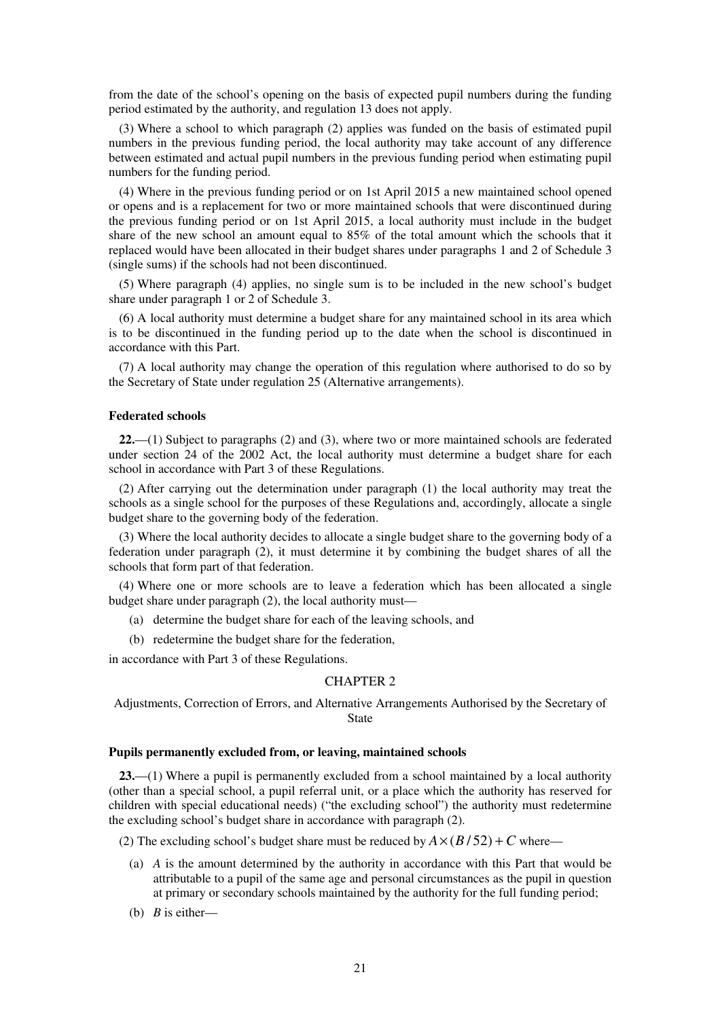from the date of the school's opening on the basis of expected pupil numbers during the funding period estimated by the authority, and regulation 13 does not apply.

(3) Where a school to which paragraph (2) applies was funded on the basis of estimated pupil numbers in the previous funding period, the local authority may take account of any difference between estimated and actual pupil numbers in the previous funding period when estimating pupil numbers for the funding period.

(4) Where in the previous funding period or on 1st April 2015 a new maintained school opened or opens and is a replacement for two or more maintained schools that were discontinued during the previous funding period or on 1st April 2015, a local authority must include in the budget share of the new school an amount equal to 85% of the total amount which the schools that it replaced would have been allocated in their budget shares under paragraphs 1 and 2 of Schedule 3 (single sums) if the schools had not been discontinued.

(5) Where paragraph (4) applies, no single sum is to be included in the new school's budget share under paragraph 1 or 2 of Schedule 3.

(6) A local authority must determine a budget share for any maintained school in its area which is to be discontinued in the funding period up to the date when the school is discontinued in accordance with this Part.

(7) A local authority may change the operation of this regulation where authorised to do so by the Secretary of State under regulation 25 (Alternative arrangements).

#### **Federated schools**

**22.**—(1) Subject to paragraphs (2) and (3), where two or more maintained schools are federated under section 24 of the 2002 Act, the local authority must determine a budget share for each school in accordance with Part 3 of these Regulations.

(2) After carrying out the determination under paragraph (1) the local authority may treat the schools as a single school for the purposes of these Regulations and, accordingly, allocate a single budget share to the governing body of the federation.

(3) Where the local authority decides to allocate a single budget share to the governing body of a federation under paragraph (2), it must determine it by combining the budget shares of all the schools that form part of that federation.

(4) Where one or more schools are to leave a federation which has been allocated a single budget share under paragraph (2), the local authority must—

- (a) determine the budget share for each of the leaving schools, and
- (b) redetermine the budget share for the federation,

in accordance with Part 3 of these Regulations.

#### CHAPTER 2

Adjustments, Correction of Errors, and Alternative Arrangements Authorised by the Secretary of State

#### **Pupils permanently excluded from, or leaving, maintained schools**

**23.**—(1) Where a pupil is permanently excluded from a school maintained by a local authority (other than a special school, a pupil referral unit, or a place which the authority has reserved for children with special educational needs) ("the excluding school") the authority must redetermine the excluding school's budget share in accordance with paragraph (2).

(2) The excluding school's budget share must be reduced by  $A \times (B/52) + C$  where—

- (a) *A* is the amount determined by the authority in accordance with this Part that would be attributable to a pupil of the same age and personal circumstances as the pupil in question at primary or secondary schools maintained by the authority for the full funding period;
- (b) *B* is either—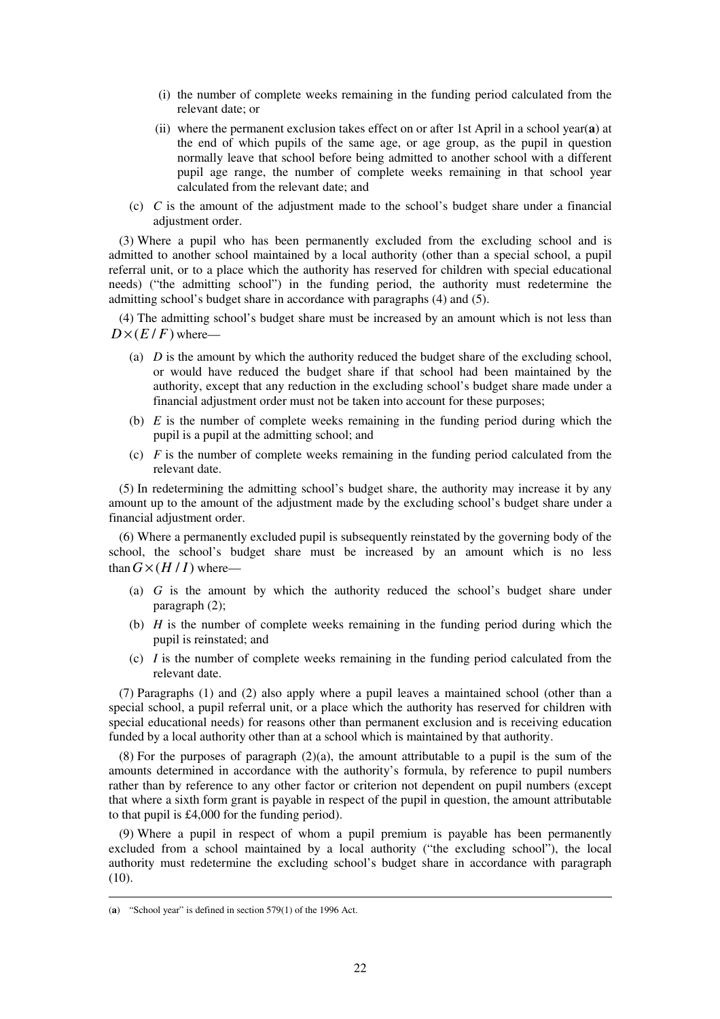- (i) the number of complete weeks remaining in the funding period calculated from the relevant date; or
- (ii) where the permanent exclusion takes effect on or after 1st April in a school year(**a**) at the end of which pupils of the same age, or age group, as the pupil in question normally leave that school before being admitted to another school with a different pupil age range, the number of complete weeks remaining in that school year calculated from the relevant date; and
- (c) *C* is the amount of the adjustment made to the school's budget share under a financial adjustment order.

(3) Where a pupil who has been permanently excluded from the excluding school and is admitted to another school maintained by a local authority (other than a special school, a pupil referral unit, or to a place which the authority has reserved for children with special educational needs) ("the admitting school") in the funding period, the authority must redetermine the admitting school's budget share in accordance with paragraphs (4) and (5).

(4) The admitting school's budget share must be increased by an amount which is not less than  $D\times(E/F)$  where—

- (a) *D* is the amount by which the authority reduced the budget share of the excluding school, or would have reduced the budget share if that school had been maintained by the authority, except that any reduction in the excluding school's budget share made under a financial adjustment order must not be taken into account for these purposes;
- (b) *E* is the number of complete weeks remaining in the funding period during which the pupil is a pupil at the admitting school; and
- (c) *F* is the number of complete weeks remaining in the funding period calculated from the relevant date.

(5) In redetermining the admitting school's budget share, the authority may increase it by any amount up to the amount of the adjustment made by the excluding school's budget share under a financial adjustment order.

(6) Where a permanently excluded pupil is subsequently reinstated by the governing body of the school, the school's budget share must be increased by an amount which is no less than  $G \times (H/I)$  where—

- (a) *G* is the amount by which the authority reduced the school's budget share under paragraph (2);
- (b) *H* is the number of complete weeks remaining in the funding period during which the pupil is reinstated; and
- (c)  $I$  is the number of complete weeks remaining in the funding period calculated from the relevant date.

(7) Paragraphs (1) and (2) also apply where a pupil leaves a maintained school (other than a special school, a pupil referral unit, or a place which the authority has reserved for children with special educational needs) for reasons other than permanent exclusion and is receiving education funded by a local authority other than at a school which is maintained by that authority.

 $(8)$  For the purposes of paragraph  $(2)(a)$ , the amount attributable to a pupil is the sum of the amounts determined in accordance with the authority's formula, by reference to pupil numbers rather than by reference to any other factor or criterion not dependent on pupil numbers (except that where a sixth form grant is payable in respect of the pupil in question, the amount attributable to that pupil is £4,000 for the funding period).

(9) Where a pupil in respect of whom a pupil premium is payable has been permanently excluded from a school maintained by a local authority ("the excluding school"), the local authority must redetermine the excluding school's budget share in accordance with paragraph  $(10).$ 

<sup>(</sup>**a**) "School year" is defined in section 579(1) of the 1996 Act.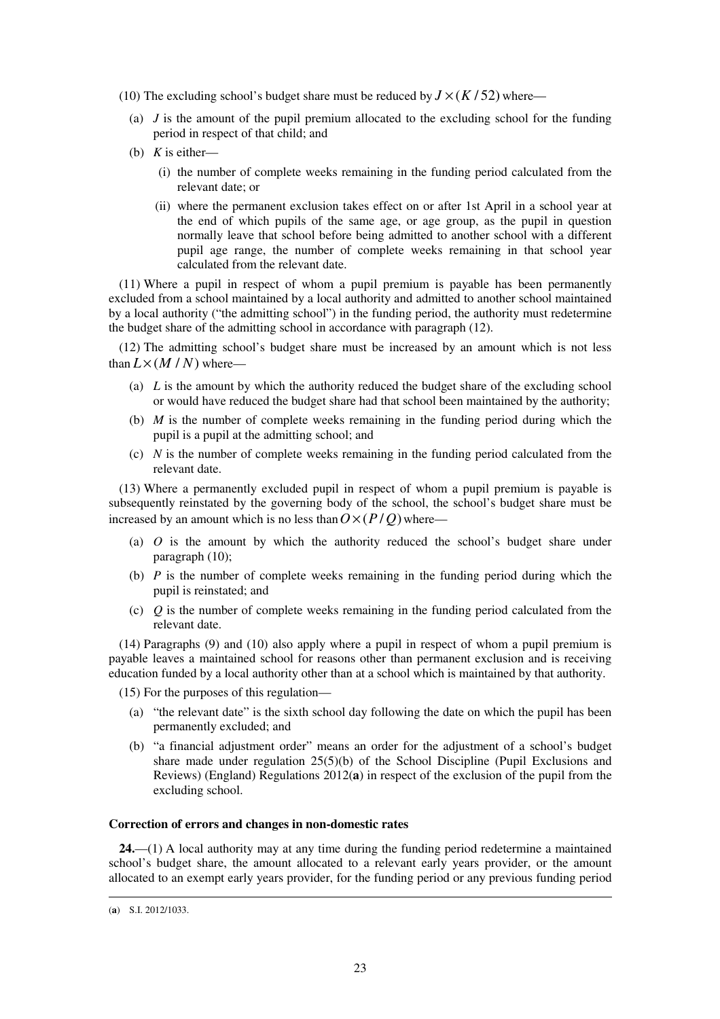- (10) The excluding school's budget share must be reduced by  $J \times (K/52)$  where—
	- (a)  $J$  is the amount of the pupil premium allocated to the excluding school for the funding period in respect of that child; and
	- (b) *K* is either—
		- (i) the number of complete weeks remaining in the funding period calculated from the relevant date; or
		- (ii) where the permanent exclusion takes effect on or after 1st April in a school year at the end of which pupils of the same age, or age group, as the pupil in question normally leave that school before being admitted to another school with a different pupil age range, the number of complete weeks remaining in that school year calculated from the relevant date.

(11) Where a pupil in respect of whom a pupil premium is payable has been permanently excluded from a school maintained by a local authority and admitted to another school maintained by a local authority ("the admitting school") in the funding period, the authority must redetermine the budget share of the admitting school in accordance with paragraph (12).

(12) The admitting school's budget share must be increased by an amount which is not less than  $L \times (M/N)$  where-

- (a) *L* is the amount by which the authority reduced the budget share of the excluding school or would have reduced the budget share had that school been maintained by the authority;
- (b) *M* is the number of complete weeks remaining in the funding period during which the pupil is a pupil at the admitting school; and
- (c) *N* is the number of complete weeks remaining in the funding period calculated from the relevant date.

(13) Where a permanently excluded pupil in respect of whom a pupil premium is payable is subsequently reinstated by the governing body of the school, the school's budget share must be increased by an amount which is no less than  $O \times (P/Q)$  where—

- (a) *O* is the amount by which the authority reduced the school's budget share under paragraph (10);
- (b) *P* is the number of complete weeks remaining in the funding period during which the pupil is reinstated; and
- (c) *Q* is the number of complete weeks remaining in the funding period calculated from the relevant date.

(14) Paragraphs (9) and (10) also apply where a pupil in respect of whom a pupil premium is payable leaves a maintained school for reasons other than permanent exclusion and is receiving education funded by a local authority other than at a school which is maintained by that authority.

(15) For the purposes of this regulation—

- (a) "the relevant date" is the sixth school day following the date on which the pupil has been permanently excluded; and
- (b) "a financial adjustment order" means an order for the adjustment of a school's budget share made under regulation  $25(5)(b)$  of the School Discipline (Pupil Exclusions and Reviews) (England) Regulations 2012(**a**) in respect of the exclusion of the pupil from the excluding school.

#### **Correction of errors and changes in non-domestic rates**

**24.**—(1) A local authority may at any time during the funding period redetermine a maintained school's budget share, the amount allocated to a relevant early years provider, or the amount allocated to an exempt early years provider, for the funding period or any previous funding period

<sup>(</sup>**a**) S.I. 2012/1033.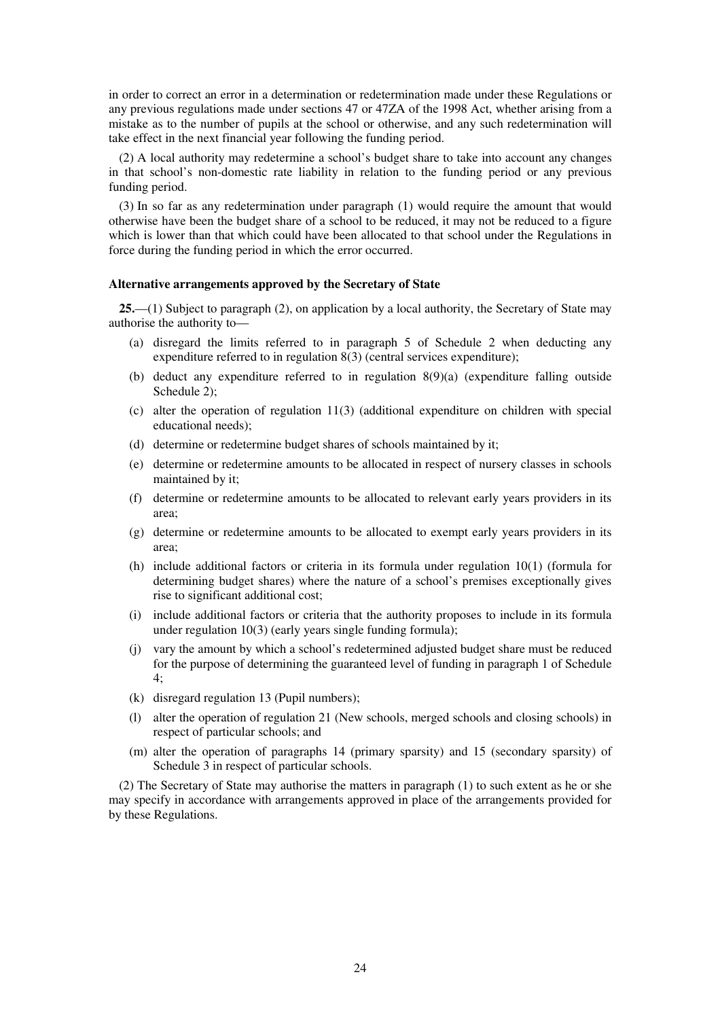in order to correct an error in a determination or redetermination made under these Regulations or any previous regulations made under sections 47 or 47ZA of the 1998 Act, whether arising from a mistake as to the number of pupils at the school or otherwise, and any such redetermination will take effect in the next financial year following the funding period.

(2) A local authority may redetermine a school's budget share to take into account any changes in that school's non-domestic rate liability in relation to the funding period or any previous funding period.

(3) In so far as any redetermination under paragraph (1) would require the amount that would otherwise have been the budget share of a school to be reduced, it may not be reduced to a figure which is lower than that which could have been allocated to that school under the Regulations in force during the funding period in which the error occurred.

#### **Alternative arrangements approved by the Secretary of State**

**25.**—(1) Subject to paragraph (2), on application by a local authority, the Secretary of State may authorise the authority to—

- (a) disregard the limits referred to in paragraph 5 of Schedule 2 when deducting any expenditure referred to in regulation 8(3) (central services expenditure);
- (b) deduct any expenditure referred to in regulation 8(9)(a) (expenditure falling outside Schedule 2);
- (c) alter the operation of regulation 11(3) (additional expenditure on children with special educational needs);
- (d) determine or redetermine budget shares of schools maintained by it;
- (e) determine or redetermine amounts to be allocated in respect of nursery classes in schools maintained by it;
- (f) determine or redetermine amounts to be allocated to relevant early years providers in its area;
- (g) determine or redetermine amounts to be allocated to exempt early years providers in its area;
- (h) include additional factors or criteria in its formula under regulation 10(1) (formula for determining budget shares) where the nature of a school's premises exceptionally gives rise to significant additional cost;
- (i) include additional factors or criteria that the authority proposes to include in its formula under regulation 10(3) (early years single funding formula);
- (j) vary the amount by which a school's redetermined adjusted budget share must be reduced for the purpose of determining the guaranteed level of funding in paragraph 1 of Schedule 4;
- (k) disregard regulation 13 (Pupil numbers);
- (l) alter the operation of regulation 21 (New schools, merged schools and closing schools) in respect of particular schools; and
- (m) alter the operation of paragraphs 14 (primary sparsity) and 15 (secondary sparsity) of Schedule 3 in respect of particular schools.

(2) The Secretary of State may authorise the matters in paragraph (1) to such extent as he or she may specify in accordance with arrangements approved in place of the arrangements provided for by these Regulations.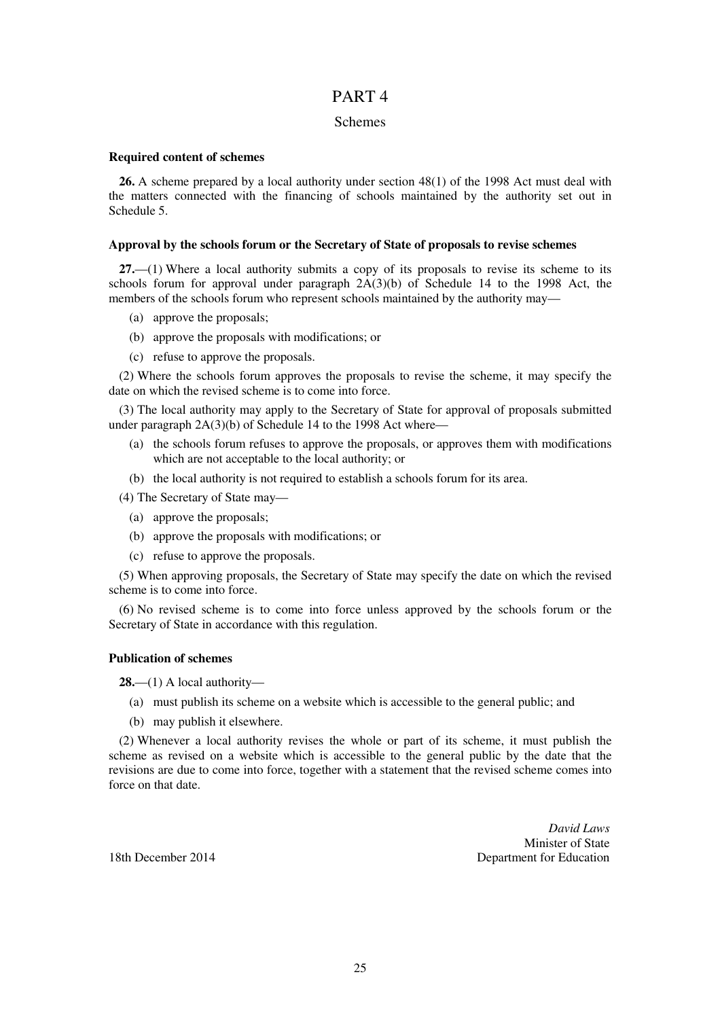## PART 4

#### Schemes

#### **Required content of schemes**

**26.** A scheme prepared by a local authority under section 48(1) of the 1998 Act must deal with the matters connected with the financing of schools maintained by the authority set out in Schedule 5.

#### **Approval by the schools forum or the Secretary of State of proposals to revise schemes**

**27.**—(1) Where a local authority submits a copy of its proposals to revise its scheme to its schools forum for approval under paragraph  $2A(3)(b)$  of Schedule 14 to the 1998 Act, the members of the schools forum who represent schools maintained by the authority may—

- (a) approve the proposals;
- (b) approve the proposals with modifications; or
- (c) refuse to approve the proposals.

(2) Where the schools forum approves the proposals to revise the scheme, it may specify the date on which the revised scheme is to come into force.

(3) The local authority may apply to the Secretary of State for approval of proposals submitted under paragraph 2A(3)(b) of Schedule 14 to the 1998 Act where—

- (a) the schools forum refuses to approve the proposals, or approves them with modifications which are not acceptable to the local authority; or
- (b) the local authority is not required to establish a schools forum for its area.

(4) The Secretary of State may—

- (a) approve the proposals;
- (b) approve the proposals with modifications; or
- (c) refuse to approve the proposals.

(5) When approving proposals, the Secretary of State may specify the date on which the revised scheme is to come into force.

(6) No revised scheme is to come into force unless approved by the schools forum or the Secretary of State in accordance with this regulation.

#### **Publication of schemes**

**28.**—(1) A local authority—

- (a) must publish its scheme on a website which is accessible to the general public; and
- (b) may publish it elsewhere.

(2) Whenever a local authority revises the whole or part of its scheme, it must publish the scheme as revised on a website which is accessible to the general public by the date that the revisions are due to come into force, together with a statement that the revised scheme comes into force on that date.

*David Laws*  Minister of State 18th December 2014 Department for Education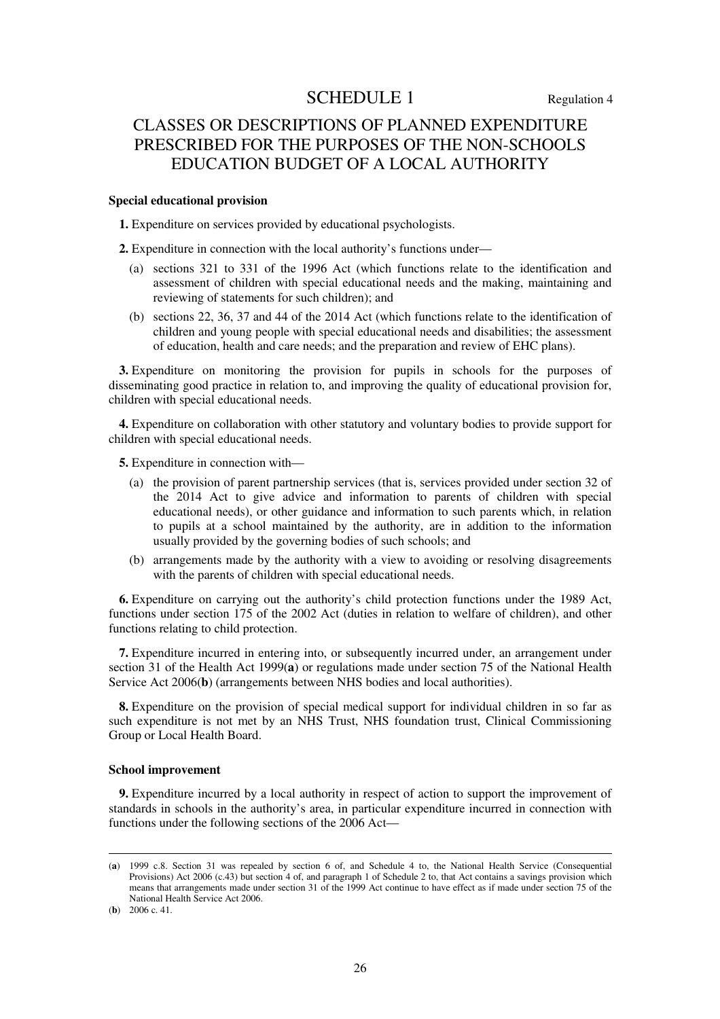# SCHEDULE 1 Regulation 4

# CLASSES OR DESCRIPTIONS OF PLANNED EXPENDITURE PRESCRIBED FOR THE PURPOSES OF THE NON-SCHOOLS EDUCATION BUDGET OF A LOCAL AUTHORITY

#### **Special educational provision**

**1.** Expenditure on services provided by educational psychologists.

**2.** Expenditure in connection with the local authority's functions under—

- (a) sections 321 to 331 of the 1996 Act (which functions relate to the identification and assessment of children with special educational needs and the making, maintaining and reviewing of statements for such children); and
- (b) sections 22, 36, 37 and 44 of the 2014 Act (which functions relate to the identification of children and young people with special educational needs and disabilities; the assessment of education, health and care needs; and the preparation and review of EHC plans).

**3.** Expenditure on monitoring the provision for pupils in schools for the purposes of disseminating good practice in relation to, and improving the quality of educational provision for, children with special educational needs.

**4.** Expenditure on collaboration with other statutory and voluntary bodies to provide support for children with special educational needs.

**5.** Expenditure in connection with—

- (a) the provision of parent partnership services (that is, services provided under section 32 of the 2014 Act to give advice and information to parents of children with special educational needs), or other guidance and information to such parents which, in relation to pupils at a school maintained by the authority, are in addition to the information usually provided by the governing bodies of such schools; and
- (b) arrangements made by the authority with a view to avoiding or resolving disagreements with the parents of children with special educational needs.

**6.** Expenditure on carrying out the authority's child protection functions under the 1989 Act, functions under section 175 of the 2002 Act (duties in relation to welfare of children), and other functions relating to child protection.

**7.** Expenditure incurred in entering into, or subsequently incurred under, an arrangement under section 31 of the Health Act 1999(**a**) or regulations made under section 75 of the National Health Service Act 2006(**b**) (arrangements between NHS bodies and local authorities).

**8.** Expenditure on the provision of special medical support for individual children in so far as such expenditure is not met by an NHS Trust, NHS foundation trust, Clinical Commissioning Group or Local Health Board.

#### **School improvement**

**9.** Expenditure incurred by a local authority in respect of action to support the improvement of standards in schools in the authority's area, in particular expenditure incurred in connection with functions under the following sections of the 2006 Act—

(**b**) 2006 c. 41.

<sup>(</sup>**a**) 1999 c.8. Section 31 was repealed by section 6 of, and Schedule 4 to, the National Health Service (Consequential Provisions) Act 2006 (c.43) but section 4 of, and paragraph 1 of Schedule 2 to, that Act contains a savings provision which means that arrangements made under section 31 of the 1999 Act continue to have effect as if made under section 75 of the National Health Service Act 2006.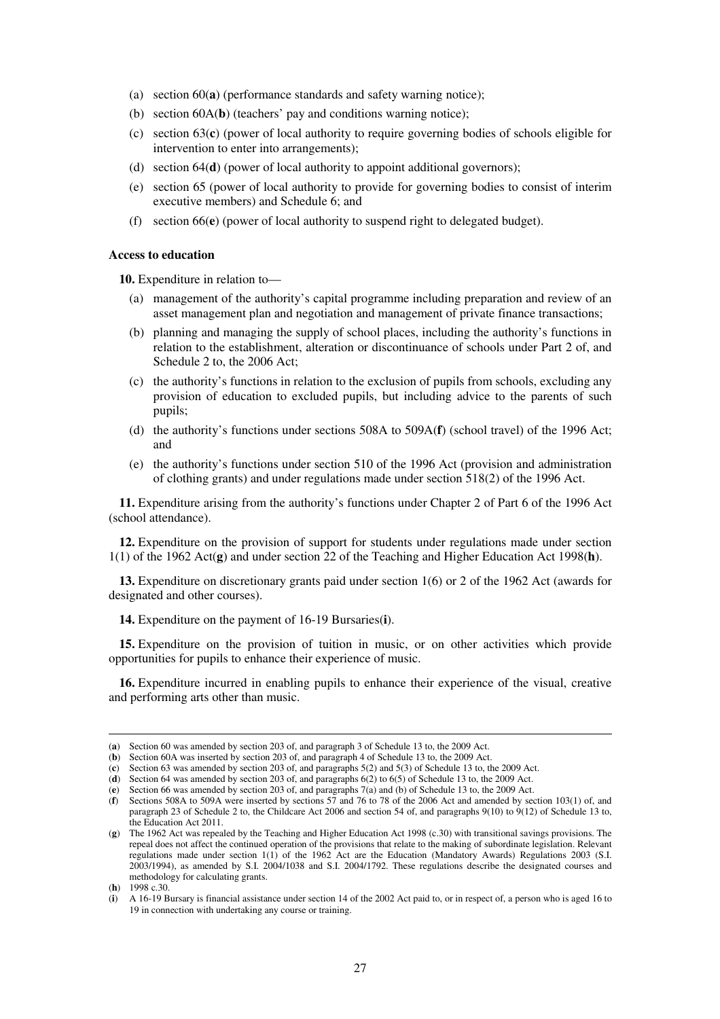- (a) section 60(**a**) (performance standards and safety warning notice);
- (b) section 60A(**b**) (teachers' pay and conditions warning notice);
- (c) section 63(**c**) (power of local authority to require governing bodies of schools eligible for intervention to enter into arrangements);
- (d) section 64(**d**) (power of local authority to appoint additional governors);
- (e) section 65 (power of local authority to provide for governing bodies to consist of interim executive members) and Schedule 6; and
- (f) section 66(**e**) (power of local authority to suspend right to delegated budget).

#### **Access to education**

**10.** Expenditure in relation to—

- (a) management of the authority's capital programme including preparation and review of an asset management plan and negotiation and management of private finance transactions;
- (b) planning and managing the supply of school places, including the authority's functions in relation to the establishment, alteration or discontinuance of schools under Part 2 of, and Schedule 2 to, the 2006 Act;
- (c) the authority's functions in relation to the exclusion of pupils from schools, excluding any provision of education to excluded pupils, but including advice to the parents of such pupils;
- (d) the authority's functions under sections 508A to 509A(**f**) (school travel) of the 1996 Act; and
- (e) the authority's functions under section 510 of the 1996 Act (provision and administration of clothing grants) and under regulations made under section 518(2) of the 1996 Act.

**11.** Expenditure arising from the authority's functions under Chapter 2 of Part 6 of the 1996 Act (school attendance).

**12.** Expenditure on the provision of support for students under regulations made under section 1(1) of the 1962 Act(**g**) and under section 22 of the Teaching and Higher Education Act 1998(**h**).

**13.** Expenditure on discretionary grants paid under section 1(6) or 2 of the 1962 Act (awards for designated and other courses).

**14.** Expenditure on the payment of 16-19 Bursaries(**i**).

**15.** Expenditure on the provision of tuition in music, or on other activities which provide opportunities for pupils to enhance their experience of music.

**16.** Expenditure incurred in enabling pupils to enhance their experience of the visual, creative and performing arts other than music.

<sup>(</sup>**a**) Section 60 was amended by section 203 of, and paragraph 3 of Schedule 13 to, the 2009 Act.

<sup>(</sup>**b**) Section 60A was inserted by section 203 of, and paragraph 4 of Schedule 13 to, the 2009 Act.

<sup>(</sup>**c**) Section 63 was amended by section 203 of, and paragraphs 5(2) and 5(3) of Schedule 13 to, the 2009 Act.

<sup>(</sup>**d**) Section 64 was amended by section 203 of, and paragraphs 6(2) to 6(5) of Schedule 13 to, the 2009 Act.

<sup>(</sup>**e**) Section 66 was amended by section 203 of, and paragraphs 7(a) and (b) of Schedule 13 to, the 2009 Act.

<sup>(</sup>**f**) Sections 508A to 509A were inserted by sections 57 and 76 to 78 of the 2006 Act and amended by section 103(1) of, and paragraph 23 of Schedule 2 to, the Childcare Act 2006 and section 54 of, and paragraphs 9(10) to 9(12) of Schedule 13 to, the Education Act 2011.

<sup>(</sup>**g**) The 1962 Act was repealed by the Teaching and Higher Education Act 1998 (c.30) with transitional savings provisions. The repeal does not affect the continued operation of the provisions that relate to the making of subordinate legislation. Relevant regulations made under section 1(1) of the 1962 Act are the Education (Mandatory Awards) Regulations 2003 (S.I. 2003/1994), as amended by S.I. 2004/1038 and S.I. 2004/1792. These regulations describe the designated courses and methodology for calculating grants.

<sup>(</sup>**h**) 1998 c.30.

<sup>(</sup>**i**) A 16-19 Bursary is financial assistance under section 14 of the 2002 Act paid to, or in respect of, a person who is aged 16 to 19 in connection with undertaking any course or training.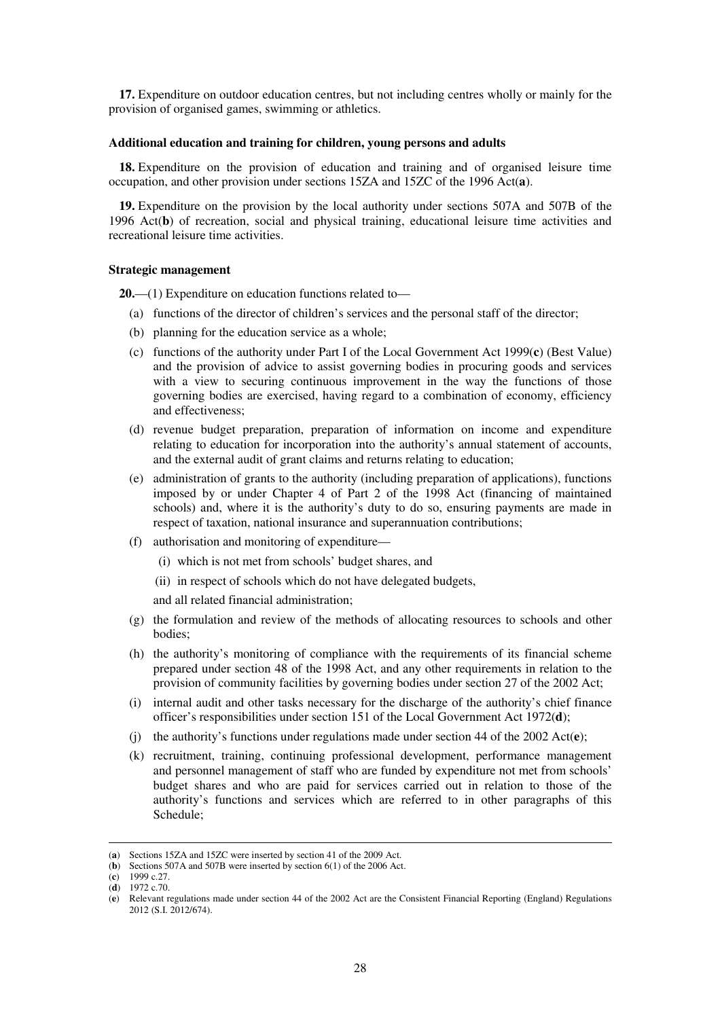**17.** Expenditure on outdoor education centres, but not including centres wholly or mainly for the provision of organised games, swimming or athletics.

#### **Additional education and training for children, young persons and adults**

**18.** Expenditure on the provision of education and training and of organised leisure time occupation, and other provision under sections 15ZA and 15ZC of the 1996 Act(**a**).

**19.** Expenditure on the provision by the local authority under sections 507A and 507B of the 1996 Act(**b**) of recreation, social and physical training, educational leisure time activities and recreational leisure time activities.

#### **Strategic management**

**20.**—(1) Expenditure on education functions related to—

- (a) functions of the director of children's services and the personal staff of the director;
- (b) planning for the education service as a whole;
- (c) functions of the authority under Part I of the Local Government Act 1999(**c**) (Best Value) and the provision of advice to assist governing bodies in procuring goods and services with a view to securing continuous improvement in the way the functions of those governing bodies are exercised, having regard to a combination of economy, efficiency and effectiveness;
- (d) revenue budget preparation, preparation of information on income and expenditure relating to education for incorporation into the authority's annual statement of accounts, and the external audit of grant claims and returns relating to education;
- (e) administration of grants to the authority (including preparation of applications), functions imposed by or under Chapter 4 of Part 2 of the 1998 Act (financing of maintained schools) and, where it is the authority's duty to do so, ensuring payments are made in respect of taxation, national insurance and superannuation contributions;
- (f) authorisation and monitoring of expenditure—
	- (i) which is not met from schools' budget shares, and
	- (ii) in respect of schools which do not have delegated budgets,

and all related financial administration;

- (g) the formulation and review of the methods of allocating resources to schools and other bodies;
- (h) the authority's monitoring of compliance with the requirements of its financial scheme prepared under section 48 of the 1998 Act, and any other requirements in relation to the provision of community facilities by governing bodies under section 27 of the 2002 Act;
- (i) internal audit and other tasks necessary for the discharge of the authority's chief finance officer's responsibilities under section 151 of the Local Government Act 1972(**d**);
- (j) the authority's functions under regulations made under section 44 of the 2002 Act(**e**);
- (k) recruitment, training, continuing professional development, performance management and personnel management of staff who are funded by expenditure not met from schools' budget shares and who are paid for services carried out in relation to those of the authority's functions and services which are referred to in other paragraphs of this Schedule;

<sup>(</sup>**a**) Sections 15ZA and 15ZC were inserted by section 41 of the 2009 Act.

<sup>(</sup>**b**) Sections 507A and 507B were inserted by section 6(1) of the 2006 Act.

<sup>(</sup>**c**) 1999 c.27.

 $(d)$  1972 c.70.

<sup>(</sup>**e**) Relevant regulations made under section 44 of the 2002 Act are the Consistent Financial Reporting (England) Regulations 2012 (S.I. 2012/674).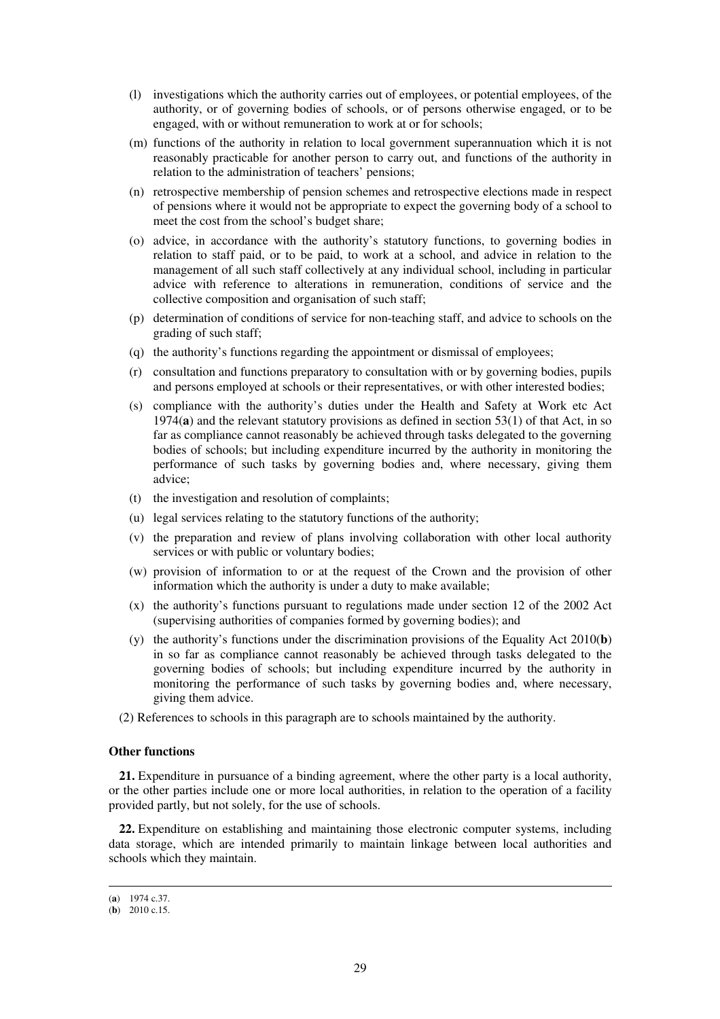- (l) investigations which the authority carries out of employees, or potential employees, of the authority, or of governing bodies of schools, or of persons otherwise engaged, or to be engaged, with or without remuneration to work at or for schools;
- (m) functions of the authority in relation to local government superannuation which it is not reasonably practicable for another person to carry out, and functions of the authority in relation to the administration of teachers' pensions;
- (n) retrospective membership of pension schemes and retrospective elections made in respect of pensions where it would not be appropriate to expect the governing body of a school to meet the cost from the school's budget share;
- (o) advice, in accordance with the authority's statutory functions, to governing bodies in relation to staff paid, or to be paid, to work at a school, and advice in relation to the management of all such staff collectively at any individual school, including in particular advice with reference to alterations in remuneration, conditions of service and the collective composition and organisation of such staff;
- (p) determination of conditions of service for non-teaching staff, and advice to schools on the grading of such staff;
- (q) the authority's functions regarding the appointment or dismissal of employees;
- (r) consultation and functions preparatory to consultation with or by governing bodies, pupils and persons employed at schools or their representatives, or with other interested bodies;
- (s) compliance with the authority's duties under the Health and Safety at Work etc Act 1974(**a**) and the relevant statutory provisions as defined in section 53(1) of that Act, in so far as compliance cannot reasonably be achieved through tasks delegated to the governing bodies of schools; but including expenditure incurred by the authority in monitoring the performance of such tasks by governing bodies and, where necessary, giving them advice;
- (t) the investigation and resolution of complaints;
- (u) legal services relating to the statutory functions of the authority;
- (v) the preparation and review of plans involving collaboration with other local authority services or with public or voluntary bodies;
- (w) provision of information to or at the request of the Crown and the provision of other information which the authority is under a duty to make available;
- (x) the authority's functions pursuant to regulations made under section 12 of the 2002 Act (supervising authorities of companies formed by governing bodies); and
- (y) the authority's functions under the discrimination provisions of the Equality Act 2010(**b**) in so far as compliance cannot reasonably be achieved through tasks delegated to the governing bodies of schools; but including expenditure incurred by the authority in monitoring the performance of such tasks by governing bodies and, where necessary, giving them advice.
- (2) References to schools in this paragraph are to schools maintained by the authority.

#### **Other functions**

**21.** Expenditure in pursuance of a binding agreement, where the other party is a local authority, or the other parties include one or more local authorities, in relation to the operation of a facility provided partly, but not solely, for the use of schools.

**22.** Expenditure on establishing and maintaining those electronic computer systems, including data storage, which are intended primarily to maintain linkage between local authorities and schools which they maintain.

<sup>(</sup>**a**) 1974 c.37.

 $(b)$  2010 c.15.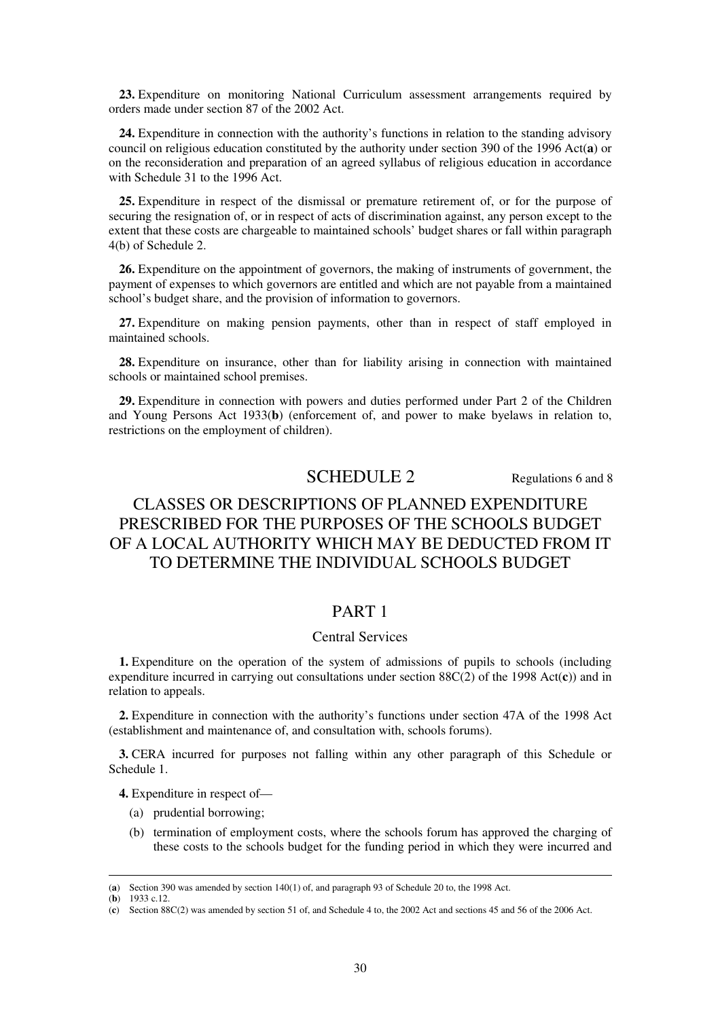**23.** Expenditure on monitoring National Curriculum assessment arrangements required by orders made under section 87 of the 2002 Act.

**24.** Expenditure in connection with the authority's functions in relation to the standing advisory council on religious education constituted by the authority under section 390 of the 1996 Act(**a**) or on the reconsideration and preparation of an agreed syllabus of religious education in accordance with Schedule 31 to the 1996 Act.

**25.** Expenditure in respect of the dismissal or premature retirement of, or for the purpose of securing the resignation of, or in respect of acts of discrimination against, any person except to the extent that these costs are chargeable to maintained schools' budget shares or fall within paragraph 4(b) of Schedule 2.

**26.** Expenditure on the appointment of governors, the making of instruments of government, the payment of expenses to which governors are entitled and which are not payable from a maintained school's budget share, and the provision of information to governors.

**27.** Expenditure on making pension payments, other than in respect of staff employed in maintained schools.

**28.** Expenditure on insurance, other than for liability arising in connection with maintained schools or maintained school premises.

**29.** Expenditure in connection with powers and duties performed under Part 2 of the Children and Young Persons Act 1933(**b**) (enforcement of, and power to make byelaws in relation to, restrictions on the employment of children).

# SCHEDULE 2 Regulations 6 and 8

# CLASSES OR DESCRIPTIONS OF PLANNED EXPENDITURE PRESCRIBED FOR THE PURPOSES OF THE SCHOOLS BUDGET OF A LOCAL AUTHORITY WHICH MAY BE DEDUCTED FROM IT TO DETERMINE THE INDIVIDUAL SCHOOLS BUDGET

## PART 1

## Central Services

**1.** Expenditure on the operation of the system of admissions of pupils to schools (including expenditure incurred in carrying out consultations under section 88C(2) of the 1998 Act(**c**)) and in relation to appeals.

**2.** Expenditure in connection with the authority's functions under section 47A of the 1998 Act (establishment and maintenance of, and consultation with, schools forums).

**3.** CERA incurred for purposes not falling within any other paragraph of this Schedule or Schedule 1.

**4.** Expenditure in respect of—

- (a) prudential borrowing;
- (b) termination of employment costs, where the schools forum has approved the charging of these costs to the schools budget for the funding period in which they were incurred and

<sup>(</sup>**a**) Section 390 was amended by section 140(1) of, and paragraph 93 of Schedule 20 to, the 1998 Act.

<sup>(</sup>**b**) 1933 c.12.

<sup>(</sup>**c**) Section 88C(2) was amended by section 51 of, and Schedule 4 to, the 2002 Act and sections 45 and 56 of the 2006 Act.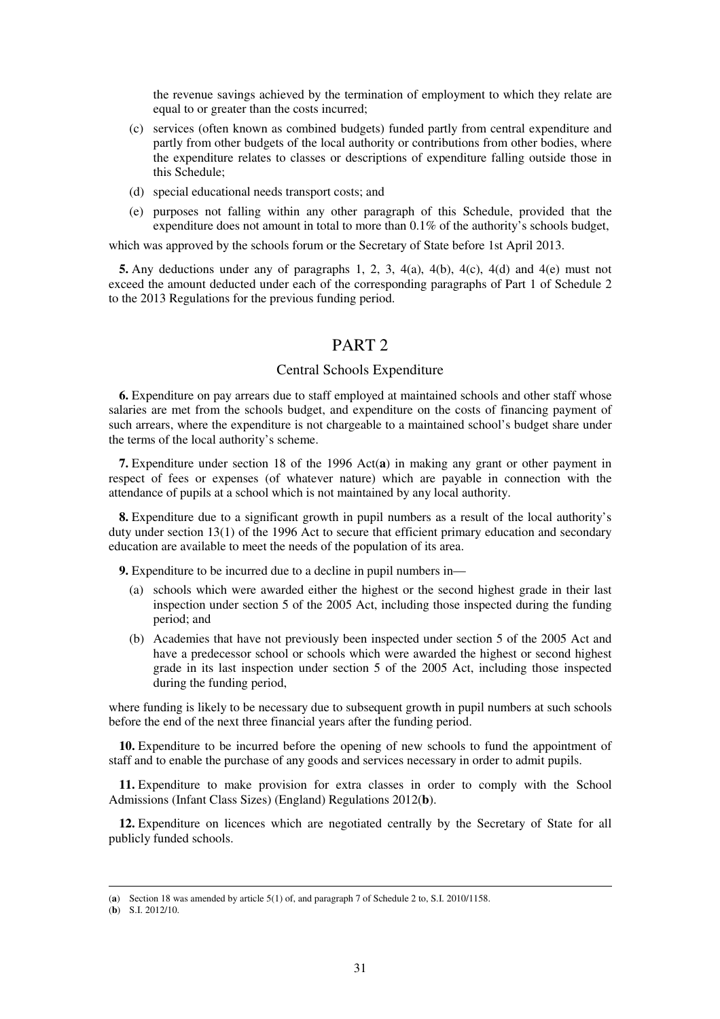the revenue savings achieved by the termination of employment to which they relate are equal to or greater than the costs incurred;

- (c) services (often known as combined budgets) funded partly from central expenditure and partly from other budgets of the local authority or contributions from other bodies, where the expenditure relates to classes or descriptions of expenditure falling outside those in this Schedule;
- (d) special educational needs transport costs; and
- (e) purposes not falling within any other paragraph of this Schedule, provided that the expenditure does not amount in total to more than 0.1% of the authority's schools budget,

which was approved by the schools forum or the Secretary of State before 1st April 2013.

**5.** Any deductions under any of paragraphs 1, 2, 3, 4(a), 4(b), 4(c), 4(d) and 4(e) must not exceed the amount deducted under each of the corresponding paragraphs of Part 1 of Schedule 2 to the 2013 Regulations for the previous funding period.

## PART 2

#### Central Schools Expenditure

**6.** Expenditure on pay arrears due to staff employed at maintained schools and other staff whose salaries are met from the schools budget, and expenditure on the costs of financing payment of such arrears, where the expenditure is not chargeable to a maintained school's budget share under the terms of the local authority's scheme.

**7.** Expenditure under section 18 of the 1996 Act(**a**) in making any grant or other payment in respect of fees or expenses (of whatever nature) which are payable in connection with the attendance of pupils at a school which is not maintained by any local authority.

**8.** Expenditure due to a significant growth in pupil numbers as a result of the local authority's duty under section 13(1) of the 1996 Act to secure that efficient primary education and secondary education are available to meet the needs of the population of its area.

**9.** Expenditure to be incurred due to a decline in pupil numbers in—

- (a) schools which were awarded either the highest or the second highest grade in their last inspection under section 5 of the 2005 Act, including those inspected during the funding period; and
- (b) Academies that have not previously been inspected under section 5 of the 2005 Act and have a predecessor school or schools which were awarded the highest or second highest grade in its last inspection under section 5 of the 2005 Act, including those inspected during the funding period,

where funding is likely to be necessary due to subsequent growth in pupil numbers at such schools before the end of the next three financial years after the funding period.

**10.** Expenditure to be incurred before the opening of new schools to fund the appointment of staff and to enable the purchase of any goods and services necessary in order to admit pupils.

**11.** Expenditure to make provision for extra classes in order to comply with the School Admissions (Infant Class Sizes) (England) Regulations 2012(**b**).

**12.** Expenditure on licences which are negotiated centrally by the Secretary of State for all publicly funded schools.

<sup>(</sup>**a**) Section 18 was amended by article 5(1) of, and paragraph 7 of Schedule 2 to, S.I. 2010/1158.

<sup>(</sup>**b**) S.I. 2012/10.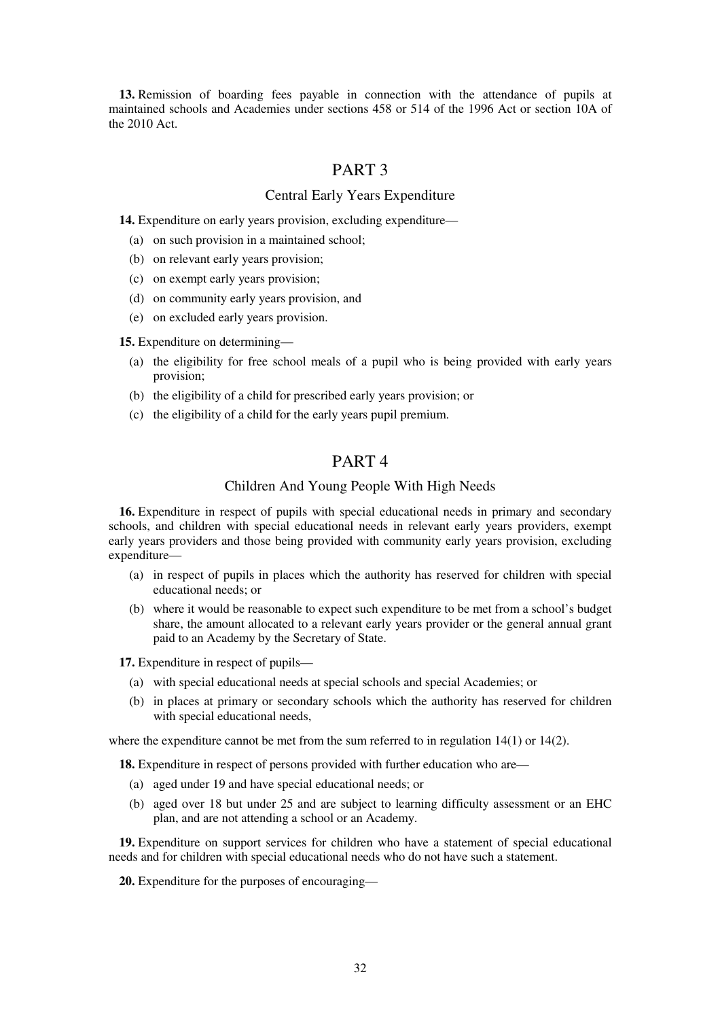**13.** Remission of boarding fees payable in connection with the attendance of pupils at maintained schools and Academies under sections 458 or 514 of the 1996 Act or section 10A of the 2010 Act.

# PART 3

### Central Early Years Expenditure

**14.** Expenditure on early years provision, excluding expenditure—

- (a) on such provision in a maintained school;
- (b) on relevant early years provision;
- (c) on exempt early years provision;
- (d) on community early years provision, and
- (e) on excluded early years provision.

**15.** Expenditure on determining—

- (a) the eligibility for free school meals of a pupil who is being provided with early years provision;
- (b) the eligibility of a child for prescribed early years provision; or
- (c) the eligibility of a child for the early years pupil premium.

# PART 4

#### Children And Young People With High Needs

**16.** Expenditure in respect of pupils with special educational needs in primary and secondary schools, and children with special educational needs in relevant early years providers, exempt early years providers and those being provided with community early years provision, excluding expenditure—

- (a) in respect of pupils in places which the authority has reserved for children with special educational needs; or
- (b) where it would be reasonable to expect such expenditure to be met from a school's budget share, the amount allocated to a relevant early years provider or the general annual grant paid to an Academy by the Secretary of State.

**17.** Expenditure in respect of pupils—

- (a) with special educational needs at special schools and special Academies; or
- (b) in places at primary or secondary schools which the authority has reserved for children with special educational needs,

where the expenditure cannot be met from the sum referred to in regulation 14(1) or 14(2).

**18.** Expenditure in respect of persons provided with further education who are—

- (a) aged under 19 and have special educational needs; or
- (b) aged over 18 but under 25 and are subject to learning difficulty assessment or an EHC plan, and are not attending a school or an Academy.

**19.** Expenditure on support services for children who have a statement of special educational needs and for children with special educational needs who do not have such a statement.

**20.** Expenditure for the purposes of encouraging—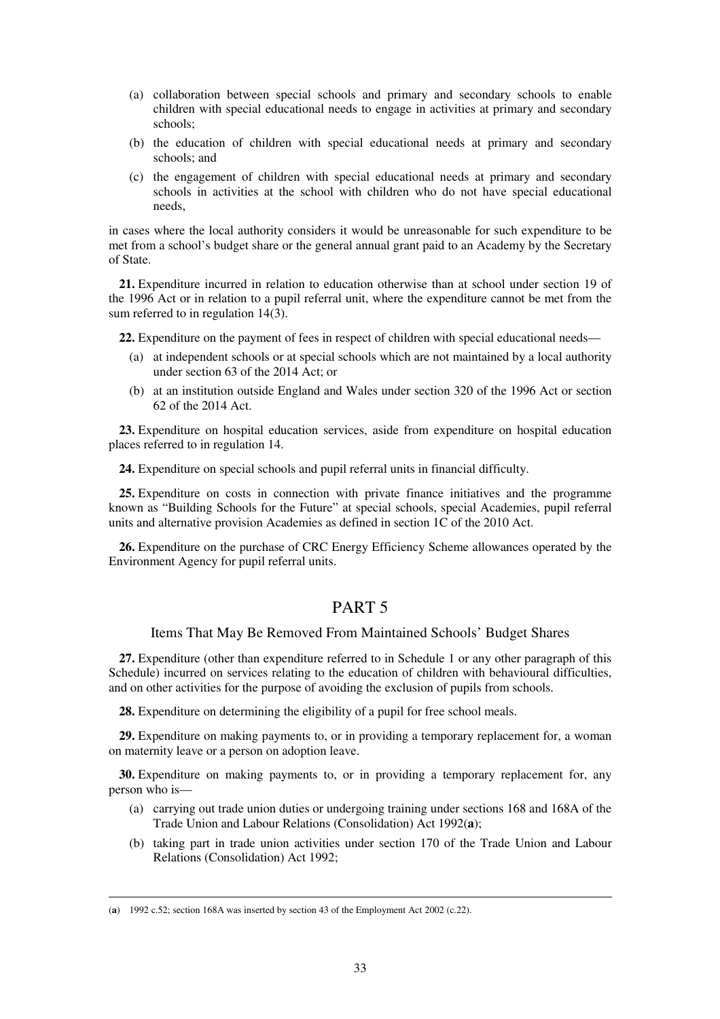- (a) collaboration between special schools and primary and secondary schools to enable children with special educational needs to engage in activities at primary and secondary schools;
- (b) the education of children with special educational needs at primary and secondary schools; and
- (c) the engagement of children with special educational needs at primary and secondary schools in activities at the school with children who do not have special educational needs,

in cases where the local authority considers it would be unreasonable for such expenditure to be met from a school's budget share or the general annual grant paid to an Academy by the Secretary of State.

**21.** Expenditure incurred in relation to education otherwise than at school under section 19 of the 1996 Act or in relation to a pupil referral unit, where the expenditure cannot be met from the sum referred to in regulation 14(3).

**22.** Expenditure on the payment of fees in respect of children with special educational needs—

- (a) at independent schools or at special schools which are not maintained by a local authority under section 63 of the 2014 Act; or
- (b) at an institution outside England and Wales under section 320 of the 1996 Act or section 62 of the 2014 Act.

**23.** Expenditure on hospital education services, aside from expenditure on hospital education places referred to in regulation 14.

**24.** Expenditure on special schools and pupil referral units in financial difficulty.

**25.** Expenditure on costs in connection with private finance initiatives and the programme known as "Building Schools for the Future" at special schools, special Academies, pupil referral units and alternative provision Academies as defined in section 1C of the 2010 Act.

**26.** Expenditure on the purchase of CRC Energy Efficiency Scheme allowances operated by the Environment Agency for pupil referral units.

# PART 5

#### Items That May Be Removed From Maintained Schools' Budget Shares

**27.** Expenditure (other than expenditure referred to in Schedule 1 or any other paragraph of this Schedule) incurred on services relating to the education of children with behavioural difficulties, and on other activities for the purpose of avoiding the exclusion of pupils from schools.

**28.** Expenditure on determining the eligibility of a pupil for free school meals.

**29.** Expenditure on making payments to, or in providing a temporary replacement for, a woman on maternity leave or a person on adoption leave.

**30.** Expenditure on making payments to, or in providing a temporary replacement for, any person who is—

- (a) carrying out trade union duties or undergoing training under sections 168 and 168A of the Trade Union and Labour Relations (Consolidation) Act 1992(**a**);
- (b) taking part in trade union activities under section 170 of the Trade Union and Labour Relations (Consolidation) Act 1992;

<sup>(</sup>**a**) 1992 c.52; section 168A was inserted by section 43 of the Employment Act 2002 (c.22).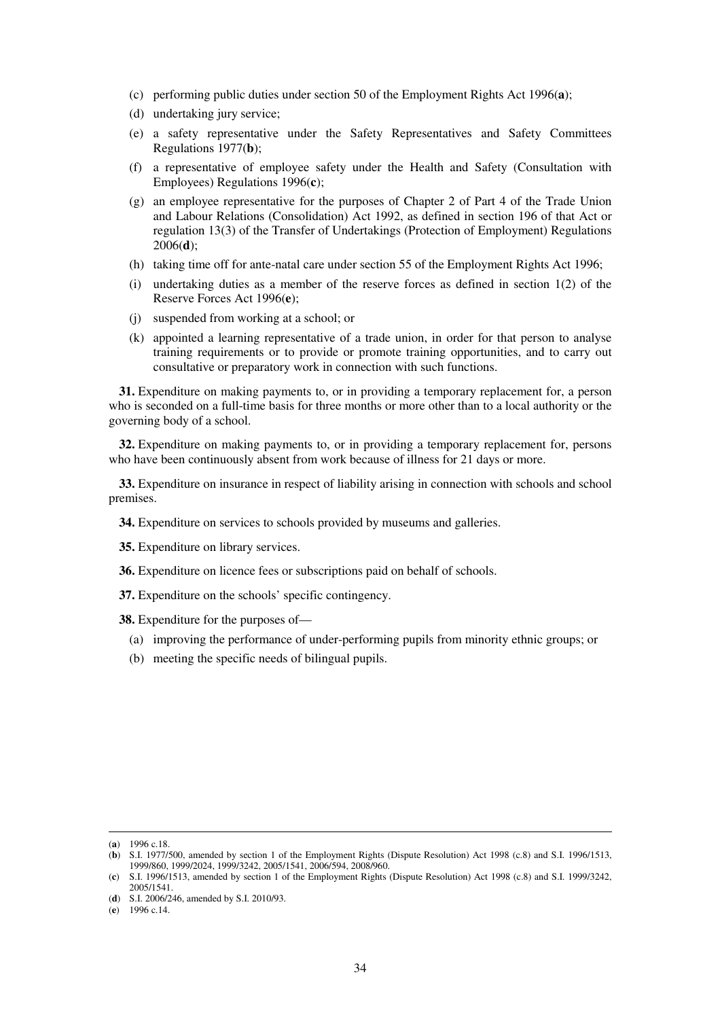- (c) performing public duties under section 50 of the Employment Rights Act 1996(**a**);
- (d) undertaking jury service;
- (e) a safety representative under the Safety Representatives and Safety Committees Regulations 1977(**b**);
- (f) a representative of employee safety under the Health and Safety (Consultation with Employees) Regulations 1996(**c**);
- (g) an employee representative for the purposes of Chapter 2 of Part 4 of the Trade Union and Labour Relations (Consolidation) Act 1992, as defined in section 196 of that Act or regulation 13(3) of the Transfer of Undertakings (Protection of Employment) Regulations 2006(**d**);
- (h) taking time off for ante-natal care under section 55 of the Employment Rights Act 1996;
- (i) undertaking duties as a member of the reserve forces as defined in section 1(2) of the Reserve Forces Act 1996(**e**);
- (j) suspended from working at a school; or
- (k) appointed a learning representative of a trade union, in order for that person to analyse training requirements or to provide or promote training opportunities, and to carry out consultative or preparatory work in connection with such functions.

**31.** Expenditure on making payments to, or in providing a temporary replacement for, a person who is seconded on a full-time basis for three months or more other than to a local authority or the governing body of a school.

**32.** Expenditure on making payments to, or in providing a temporary replacement for, persons who have been continuously absent from work because of illness for 21 days or more.

**33.** Expenditure on insurance in respect of liability arising in connection with schools and school premises.

**34.** Expenditure on services to schools provided by museums and galleries.

**35.** Expenditure on library services.

**36.** Expenditure on licence fees or subscriptions paid on behalf of schools.

**37.** Expenditure on the schools' specific contingency.

**38.** Expenditure for the purposes of—

- (a) improving the performance of under-performing pupils from minority ethnic groups; or
- (b) meeting the specific needs of bilingual pupils.

<sup>(</sup>**a**) 1996 c.18.

<sup>(</sup>**b**) S.I. 1977/500, amended by section 1 of the Employment Rights (Dispute Resolution) Act 1998 (c.8) and S.I. 1996/1513, 1999/860, 1999/2024, 1999/3242, 2005/1541, 2006/594, 2008/960.

<sup>(</sup>**c**) S.I. 1996/1513, amended by section 1 of the Employment Rights (Dispute Resolution) Act 1998 (c.8) and S.I. 1999/3242, 2005/1541.

<sup>(</sup>**d**) S.I. 2006/246, amended by S.I. 2010/93.

<sup>(</sup>**e**) 1996 c.14.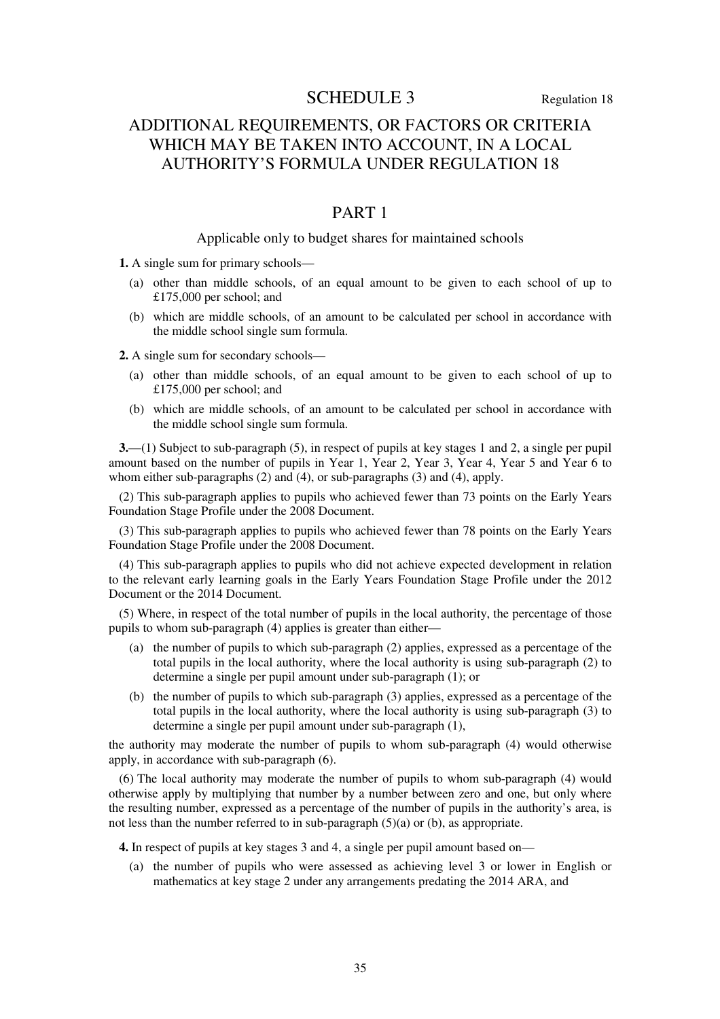## SCHEDULE 3 Regulation 18

# ADDITIONAL REQUIREMENTS, OR FACTORS OR CRITERIA WHICH MAY BE TAKEN INTO ACCOUNT, IN A LOCAL AUTHORITY'S FORMULA UNDER REGULATION 18

## PART 1

## Applicable only to budget shares for maintained schools

**1.** A single sum for primary schools—

- (a) other than middle schools, of an equal amount to be given to each school of up to £175,000 per school; and
- (b) which are middle schools, of an amount to be calculated per school in accordance with the middle school single sum formula.

**2.** A single sum for secondary schools—

- (a) other than middle schools, of an equal amount to be given to each school of up to £175,000 per school; and
- (b) which are middle schools, of an amount to be calculated per school in accordance with the middle school single sum formula.

**3.**—(1) Subject to sub-paragraph (5), in respect of pupils at key stages 1 and 2, a single per pupil amount based on the number of pupils in Year 1, Year 2, Year 3, Year 4, Year 5 and Year 6 to whom either sub-paragraphs  $(2)$  and  $(4)$ , or sub-paragraphs  $(3)$  and  $(4)$ , apply.

(2) This sub-paragraph applies to pupils who achieved fewer than 73 points on the Early Years Foundation Stage Profile under the 2008 Document.

(3) This sub-paragraph applies to pupils who achieved fewer than 78 points on the Early Years Foundation Stage Profile under the 2008 Document.

(4) This sub-paragraph applies to pupils who did not achieve expected development in relation to the relevant early learning goals in the Early Years Foundation Stage Profile under the 2012 Document or the 2014 Document.

(5) Where, in respect of the total number of pupils in the local authority, the percentage of those pupils to whom sub-paragraph (4) applies is greater than either—

- (a) the number of pupils to which sub-paragraph (2) applies, expressed as a percentage of the total pupils in the local authority, where the local authority is using sub-paragraph (2) to determine a single per pupil amount under sub-paragraph (1); or
- (b) the number of pupils to which sub-paragraph (3) applies, expressed as a percentage of the total pupils in the local authority, where the local authority is using sub-paragraph (3) to determine a single per pupil amount under sub-paragraph (1),

the authority may moderate the number of pupils to whom sub-paragraph (4) would otherwise apply, in accordance with sub-paragraph (6).

(6) The local authority may moderate the number of pupils to whom sub-paragraph (4) would otherwise apply by multiplying that number by a number between zero and one, but only where the resulting number, expressed as a percentage of the number of pupils in the authority's area, is not less than the number referred to in sub-paragraph (5)(a) or (b), as appropriate.

**4.** In respect of pupils at key stages 3 and 4, a single per pupil amount based on—

(a) the number of pupils who were assessed as achieving level 3 or lower in English or mathematics at key stage 2 under any arrangements predating the 2014 ARA, and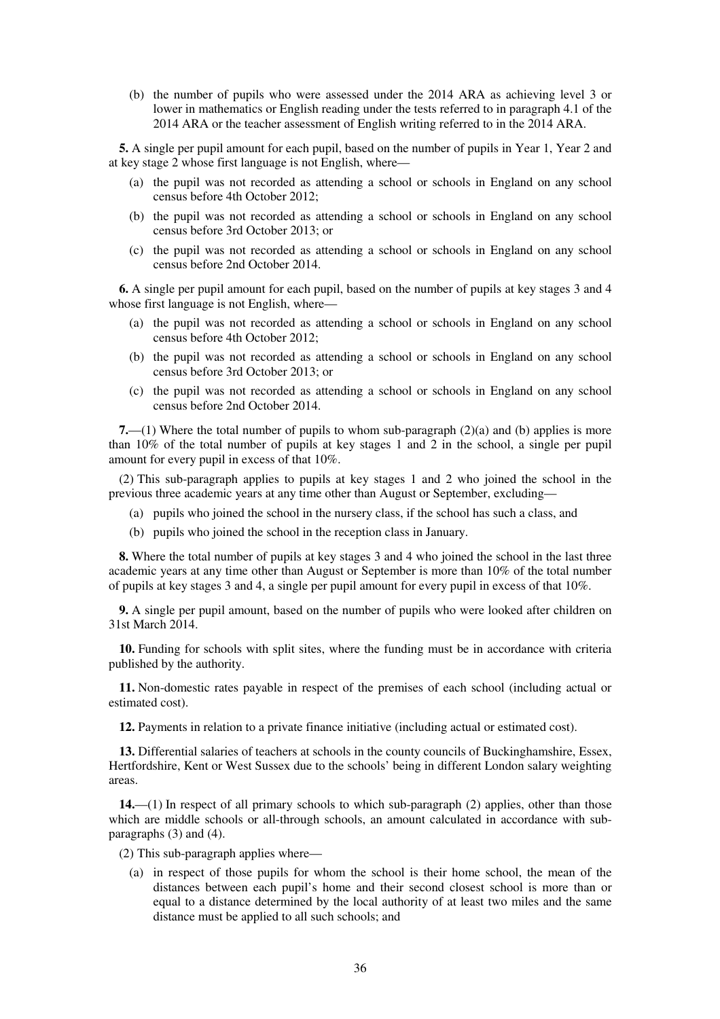(b) the number of pupils who were assessed under the 2014 ARA as achieving level 3 or lower in mathematics or English reading under the tests referred to in paragraph 4.1 of the 2014 ARA or the teacher assessment of English writing referred to in the 2014 ARA.

**5.** A single per pupil amount for each pupil, based on the number of pupils in Year 1, Year 2 and at key stage 2 whose first language is not English, where—

- (a) the pupil was not recorded as attending a school or schools in England on any school census before 4th October 2012;
- (b) the pupil was not recorded as attending a school or schools in England on any school census before 3rd October 2013; or
- (c) the pupil was not recorded as attending a school or schools in England on any school census before 2nd October 2014.

**6.** A single per pupil amount for each pupil, based on the number of pupils at key stages 3 and 4 whose first language is not English, where—

- (a) the pupil was not recorded as attending a school or schools in England on any school census before 4th October 2012;
- (b) the pupil was not recorded as attending a school or schools in England on any school census before 3rd October 2013; or
- (c) the pupil was not recorded as attending a school or schools in England on any school census before 2nd October 2014.

**7.**—(1) Where the total number of pupils to whom sub-paragraph (2)(a) and (b) applies is more than 10% of the total number of pupils at key stages 1 and 2 in the school, a single per pupil amount for every pupil in excess of that 10%.

(2) This sub-paragraph applies to pupils at key stages 1 and 2 who joined the school in the previous three academic years at any time other than August or September, excluding—

- (a) pupils who joined the school in the nursery class, if the school has such a class, and
- (b) pupils who joined the school in the reception class in January.

**8.** Where the total number of pupils at key stages 3 and 4 who joined the school in the last three academic years at any time other than August or September is more than 10% of the total number of pupils at key stages 3 and 4, a single per pupil amount for every pupil in excess of that 10%.

**9.** A single per pupil amount, based on the number of pupils who were looked after children on 31st March 2014.

**10.** Funding for schools with split sites, where the funding must be in accordance with criteria published by the authority.

**11.** Non-domestic rates payable in respect of the premises of each school (including actual or estimated cost).

**12.** Payments in relation to a private finance initiative (including actual or estimated cost).

**13.** Differential salaries of teachers at schools in the county councils of Buckinghamshire, Essex, Hertfordshire, Kent or West Sussex due to the schools' being in different London salary weighting areas.

**14.**—(1) In respect of all primary schools to which sub-paragraph (2) applies, other than those which are middle schools or all-through schools, an amount calculated in accordance with subparagraphs (3) and (4).

(2) This sub-paragraph applies where—

(a) in respect of those pupils for whom the school is their home school, the mean of the distances between each pupil's home and their second closest school is more than or equal to a distance determined by the local authority of at least two miles and the same distance must be applied to all such schools; and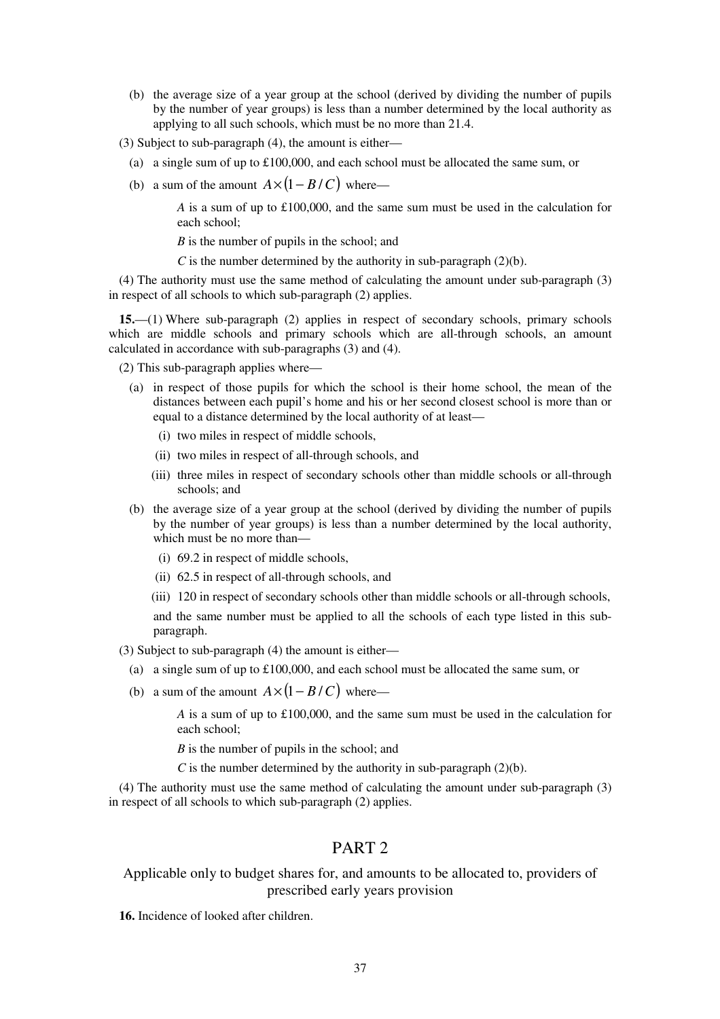- (b) the average size of a year group at the school (derived by dividing the number of pupils by the number of year groups) is less than a number determined by the local authority as applying to all such schools, which must be no more than 21.4.
- (3) Subject to sub-paragraph (4), the amount is either—
	- (a) a single sum of up to £100,000, and each school must be allocated the same sum, or
	- (b) a sum of the amount  $A \times (1 B/C)$  where—

*A* is a sum of up to £100,000, and the same sum must be used in the calculation for each school;

*B* is the number of pupils in the school; and

*C* is the number determined by the authority in sub-paragraph  $(2)(b)$ .

(4) The authority must use the same method of calculating the amount under sub-paragraph (3) in respect of all schools to which sub-paragraph (2) applies.

**15.**—(1) Where sub-paragraph (2) applies in respect of secondary schools, primary schools which are middle schools and primary schools which are all-through schools, an amount calculated in accordance with sub-paragraphs (3) and (4).

(2) This sub-paragraph applies where—

- (a) in respect of those pupils for which the school is their home school, the mean of the distances between each pupil's home and his or her second closest school is more than or equal to a distance determined by the local authority of at least—
	- (i) two miles in respect of middle schools,
	- (ii) two miles in respect of all-through schools, and
	- (iii) three miles in respect of secondary schools other than middle schools or all-through schools; and
- (b) the average size of a year group at the school (derived by dividing the number of pupils by the number of year groups) is less than a number determined by the local authority, which must be no more than—
	- (i) 69.2 in respect of middle schools,
	- (ii) 62.5 in respect of all-through schools, and
	- (iii) 120 in respect of secondary schools other than middle schools or all-through schools,

and the same number must be applied to all the schools of each type listed in this subparagraph.

(3) Subject to sub-paragraph (4) the amount is either—

- (a) a single sum of up to  $\pounds$ 100,000, and each school must be allocated the same sum, or
- (b) a sum of the amount  $A \times (1 B/C)$  where—

*A* is a sum of up to £100,000, and the same sum must be used in the calculation for each school;

*B* is the number of pupils in the school; and

*C* is the number determined by the authority in sub-paragraph  $(2)(b)$ .

(4) The authority must use the same method of calculating the amount under sub-paragraph (3) in respect of all schools to which sub-paragraph (2) applies.

## PART 2

## Applicable only to budget shares for, and amounts to be allocated to, providers of prescribed early years provision

**16.** Incidence of looked after children.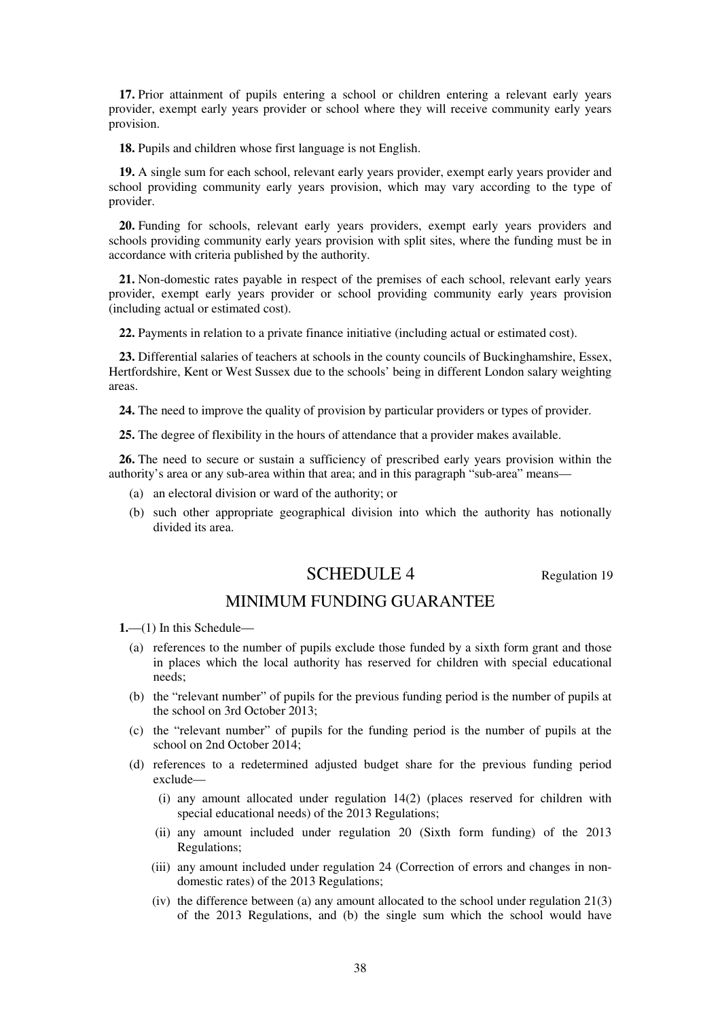**17.** Prior attainment of pupils entering a school or children entering a relevant early years provider, exempt early years provider or school where they will receive community early years provision.

**18.** Pupils and children whose first language is not English.

**19.** A single sum for each school, relevant early years provider, exempt early years provider and school providing community early years provision, which may vary according to the type of provider.

**20.** Funding for schools, relevant early years providers, exempt early years providers and schools providing community early years provision with split sites, where the funding must be in accordance with criteria published by the authority.

**21.** Non-domestic rates payable in respect of the premises of each school, relevant early years provider, exempt early years provider or school providing community early years provision (including actual or estimated cost).

**22.** Payments in relation to a private finance initiative (including actual or estimated cost).

**23.** Differential salaries of teachers at schools in the county councils of Buckinghamshire, Essex, Hertfordshire, Kent or West Sussex due to the schools' being in different London salary weighting areas.

**24.** The need to improve the quality of provision by particular providers or types of provider.

**25.** The degree of flexibility in the hours of attendance that a provider makes available.

**26.** The need to secure or sustain a sufficiency of prescribed early years provision within the authority's area or any sub-area within that area; and in this paragraph "sub-area" means—

- (a) an electoral division or ward of the authority; or
- (b) such other appropriate geographical division into which the authority has notionally divided its area.

# SCHEDULE 4 Regulation 19

## MINIMUM FUNDING GUARANTEE

**1.**—(1) In this Schedule—

- (a) references to the number of pupils exclude those funded by a sixth form grant and those in places which the local authority has reserved for children with special educational needs;
- (b) the "relevant number" of pupils for the previous funding period is the number of pupils at the school on 3rd October 2013;
- (c) the "relevant number" of pupils for the funding period is the number of pupils at the school on 2nd October 2014;
- (d) references to a redetermined adjusted budget share for the previous funding period exclude—
	- (i) any amount allocated under regulation 14(2) (places reserved for children with special educational needs) of the 2013 Regulations;
	- (ii) any amount included under regulation 20 (Sixth form funding) of the 2013 Regulations;
	- (iii) any amount included under regulation 24 (Correction of errors and changes in nondomestic rates) of the 2013 Regulations;
	- (iv) the difference between (a) any amount allocated to the school under regulation 21(3) of the 2013 Regulations, and (b) the single sum which the school would have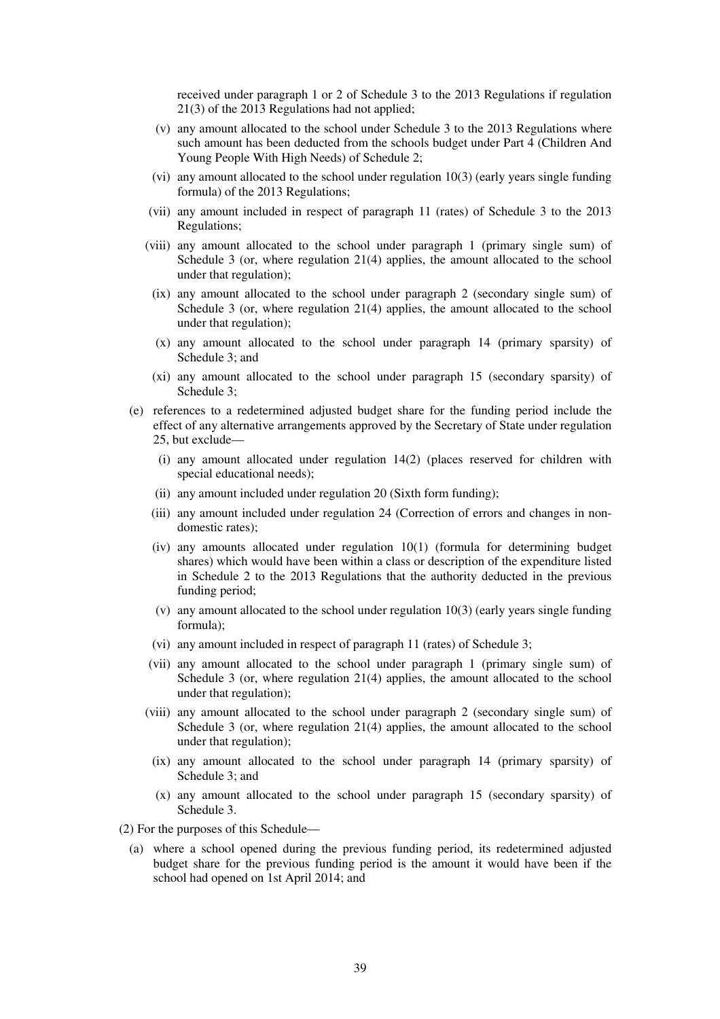received under paragraph 1 or 2 of Schedule 3 to the 2013 Regulations if regulation 21(3) of the 2013 Regulations had not applied;

- (v) any amount allocated to the school under Schedule 3 to the 2013 Regulations where such amount has been deducted from the schools budget under Part 4 (Children And Young People With High Needs) of Schedule 2;
- (vi) any amount allocated to the school under regulation 10(3) (early years single funding formula) of the 2013 Regulations;
- (vii) any amount included in respect of paragraph 11 (rates) of Schedule 3 to the 2013 Regulations;
- (viii) any amount allocated to the school under paragraph 1 (primary single sum) of Schedule 3 (or, where regulation 21(4) applies, the amount allocated to the school under that regulation);
	- (ix) any amount allocated to the school under paragraph 2 (secondary single sum) of Schedule 3 (or, where regulation 21(4) applies, the amount allocated to the school under that regulation);
	- (x) any amount allocated to the school under paragraph 14 (primary sparsity) of Schedule 3; and
	- (xi) any amount allocated to the school under paragraph 15 (secondary sparsity) of Schedule 3;
- (e) references to a redetermined adjusted budget share for the funding period include the effect of any alternative arrangements approved by the Secretary of State under regulation 25, but exclude—
	- (i) any amount allocated under regulation 14(2) (places reserved for children with special educational needs);
	- (ii) any amount included under regulation 20 (Sixth form funding);
	- (iii) any amount included under regulation 24 (Correction of errors and changes in nondomestic rates);
	- (iv) any amounts allocated under regulation 10(1) (formula for determining budget shares) which would have been within a class or description of the expenditure listed in Schedule 2 to the 2013 Regulations that the authority deducted in the previous funding period;
	- (v) any amount allocated to the school under regulation 10(3) (early years single funding formula);
	- (vi) any amount included in respect of paragraph 11 (rates) of Schedule 3;
	- (vii) any amount allocated to the school under paragraph 1 (primary single sum) of Schedule 3 (or, where regulation 21(4) applies, the amount allocated to the school under that regulation);
	- (viii) any amount allocated to the school under paragraph 2 (secondary single sum) of Schedule 3 (or, where regulation 21(4) applies, the amount allocated to the school under that regulation);
		- (ix) any amount allocated to the school under paragraph 14 (primary sparsity) of Schedule 3; and
		- (x) any amount allocated to the school under paragraph 15 (secondary sparsity) of Schedule 3.
- (2) For the purposes of this Schedule—
	- (a) where a school opened during the previous funding period, its redetermined adjusted budget share for the previous funding period is the amount it would have been if the school had opened on 1st April 2014; and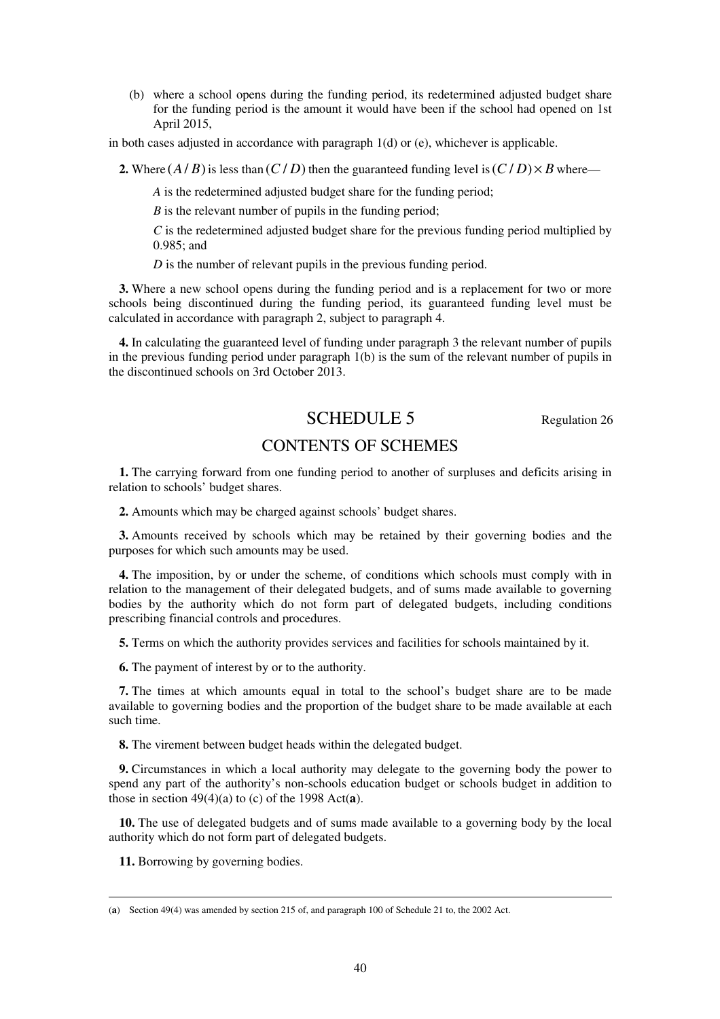(b) where a school opens during the funding period, its redetermined adjusted budget share for the funding period is the amount it would have been if the school had opened on 1st April 2015,

in both cases adjusted in accordance with paragraph  $1(d)$  or (e), whichever is applicable.

**2.** Where  $(A/B)$  is less than  $(C/D)$  then the guaranteed funding level is  $(C/D) \times B$  where—

*A* is the redetermined adjusted budget share for the funding period;

*B* is the relevant number of pupils in the funding period;

*C* is the redetermined adjusted budget share for the previous funding period multiplied by 0.985; and

*D* is the number of relevant pupils in the previous funding period.

**3.** Where a new school opens during the funding period and is a replacement for two or more schools being discontinued during the funding period, its guaranteed funding level must be calculated in accordance with paragraph 2, subject to paragraph 4.

**4.** In calculating the guaranteed level of funding under paragraph 3 the relevant number of pupils in the previous funding period under paragraph 1(b) is the sum of the relevant number of pupils in the discontinued schools on 3rd October 2013.

# SCHEDULE 5 Regulation 26

# CONTENTS OF SCHEMES

**1.** The carrying forward from one funding period to another of surpluses and deficits arising in relation to schools' budget shares.

**2.** Amounts which may be charged against schools' budget shares.

**3.** Amounts received by schools which may be retained by their governing bodies and the purposes for which such amounts may be used.

**4.** The imposition, by or under the scheme, of conditions which schools must comply with in relation to the management of their delegated budgets, and of sums made available to governing bodies by the authority which do not form part of delegated budgets, including conditions prescribing financial controls and procedures.

**5.** Terms on which the authority provides services and facilities for schools maintained by it.

**6.** The payment of interest by or to the authority.

**7.** The times at which amounts equal in total to the school's budget share are to be made available to governing bodies and the proportion of the budget share to be made available at each such time.

**8.** The virement between budget heads within the delegated budget.

**9.** Circumstances in which a local authority may delegate to the governing body the power to spend any part of the authority's non-schools education budget or schools budget in addition to those in section  $49(4)(a)$  to (c) of the 1998 Act(a).

**10.** The use of delegated budgets and of sums made available to a governing body by the local authority which do not form part of delegated budgets.

**11.** Borrowing by governing bodies.

<sup>(</sup>**a**) Section 49(4) was amended by section 215 of, and paragraph 100 of Schedule 21 to, the 2002 Act.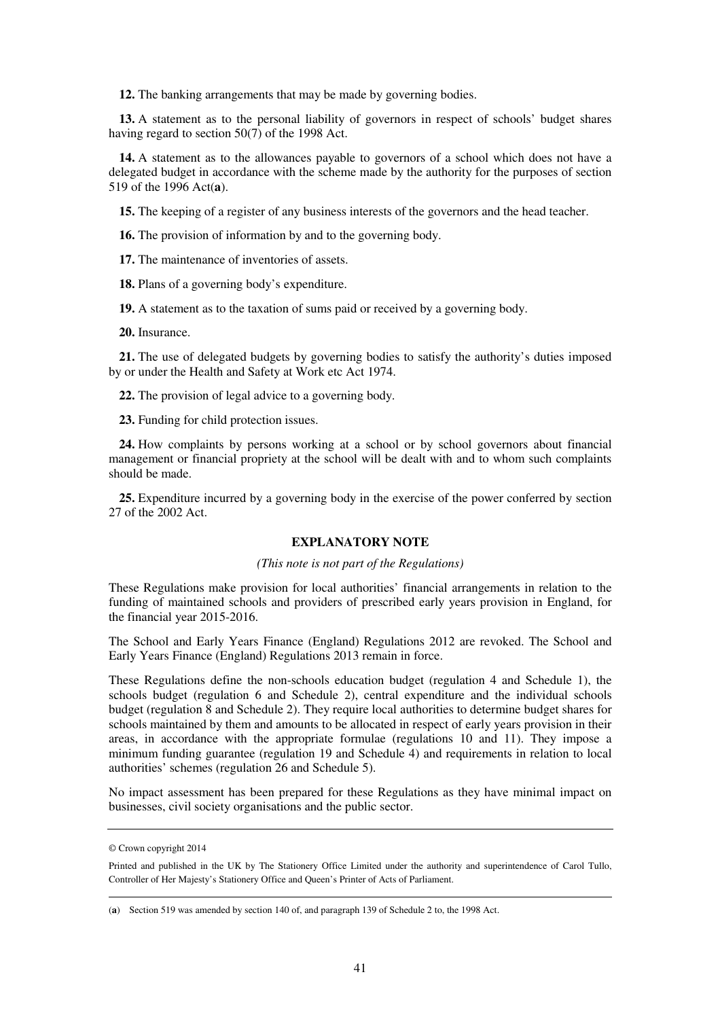**12.** The banking arrangements that may be made by governing bodies.

**13.** A statement as to the personal liability of governors in respect of schools' budget shares having regard to section 50(7) of the 1998 Act.

**14.** A statement as to the allowances payable to governors of a school which does not have a delegated budget in accordance with the scheme made by the authority for the purposes of section 519 of the 1996 Act(**a**).

**15.** The keeping of a register of any business interests of the governors and the head teacher.

**16.** The provision of information by and to the governing body.

**17.** The maintenance of inventories of assets.

**18.** Plans of a governing body's expenditure.

**19.** A statement as to the taxation of sums paid or received by a governing body.

**20.** Insurance.

**21.** The use of delegated budgets by governing bodies to satisfy the authority's duties imposed by or under the Health and Safety at Work etc Act 1974.

**22.** The provision of legal advice to a governing body.

**23.** Funding for child protection issues.

**24.** How complaints by persons working at a school or by school governors about financial management or financial propriety at the school will be dealt with and to whom such complaints should be made.

**25.** Expenditure incurred by a governing body in the exercise of the power conferred by section 27 of the 2002 Act.

### **EXPLANATORY NOTE**

#### *(This note is not part of the Regulations)*

These Regulations make provision for local authorities' financial arrangements in relation to the funding of maintained schools and providers of prescribed early years provision in England, for the financial year 2015-2016.

The School and Early Years Finance (England) Regulations 2012 are revoked. The School and Early Years Finance (England) Regulations 2013 remain in force.

These Regulations define the non-schools education budget (regulation 4 and Schedule 1), the schools budget (regulation 6 and Schedule 2), central expenditure and the individual schools budget (regulation 8 and Schedule 2). They require local authorities to determine budget shares for schools maintained by them and amounts to be allocated in respect of early years provision in their areas, in accordance with the appropriate formulae (regulations 10 and 11). They impose a minimum funding guarantee (regulation 19 and Schedule 4) and requirements in relation to local authorities' schemes (regulation 26 and Schedule 5).

No impact assessment has been prepared for these Regulations as they have minimal impact on businesses, civil society organisations and the public sector.

<sup>©</sup> Crown copyright 2014

Printed and published in the UK by The Stationery Office Limited under the authority and superintendence of Carol Tullo, Controller of Her Majesty's Stationery Office and Queen's Printer of Acts of Parliament.

<sup>(</sup>**a**) Section 519 was amended by section 140 of, and paragraph 139 of Schedule 2 to, the 1998 Act.